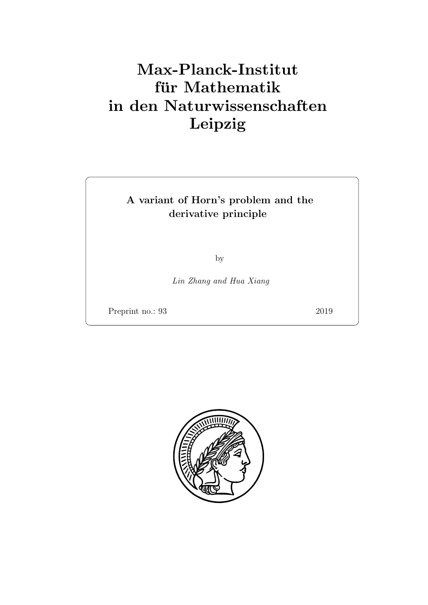# Max-Planck-Institut für Mathematik in den Naturwissenschaften Leipzig

# A variant of Horn's problem and the derivative principle

by

Lin Zhang and Hua Xiang

Preprint no.: 93 2019

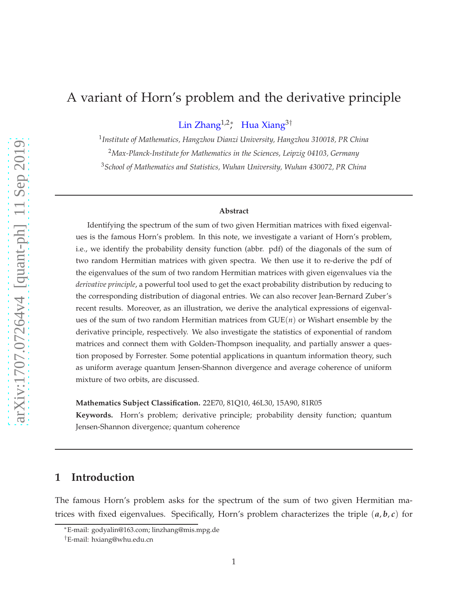# A variant of Horn's problem and the derivative principle

Lin Zhang<sup>1,2</sup>\* Hua Xiang<sup>3†</sup>

1 *Institute of Mathematics, Hangzhou Dianzi University, Hangzhou 310018, PR China* <sup>2</sup>*Max-Planck-Institute for Mathematics in the Sciences, Leipzig 04103, Germany* <sup>3</sup>*School of Mathematics and Statistics, Wuhan University, Wuhan 430072, PR China*

#### **Abstract**

Identifying the spectrum of the sum of two given Hermitian matrices with fixed eigenvalues is the famous Horn's problem. In this note, we investigate a variant of Horn's problem, i.e., we identify the probability density function (abbr. pdf) of the diagonals of the sum of two random Hermitian matrices with given spectra. We then use it to re-derive the pdf of the eigenvalues of the sum of two random Hermitian matrices with given eigenvalues via the *derivative principle*, a powerful tool used to get the exact probability distribution by reducing to the corresponding distribution of diagonal entries. We can also recover Jean-Bernard Zuber's recent results. Moreover, as an illustration, we derive the analytical expressions of eigenvalues of the sum of two random Hermitian matrices from  $GUE(n)$  or Wishart ensemble by the derivative principle, respectively. We also investigate the statistics of exponential of random matrices and connect them with Golden-Thompson inequality, and partially answer a question proposed by Forrester. Some potential applications in quantum information theory, such as uniform average quantum Jensen-Shannon divergence and average coherence of uniform mixture of two orbits, are discussed.

**Mathematics Subject Classification.** 22E70, 81Q10, 46L30, 15A90, 81R05

**Keywords.** Horn's problem; derivative principle; probability density function; quantum Jensen-Shannon divergence; quantum coherence

### **1 Introduction**

The famous Horn's problem asks for the spectrum of the sum of two given Hermitian matrices with fixed eigenvalues. Specifically, Horn's problem characterizes the triple (*a*, *b*, *c*) for

<sup>∗</sup>E-mail: godyalin@163.com; linzhang@mis.mpg.de

<sup>†</sup>E-mail: hxiang@whu.edu.cn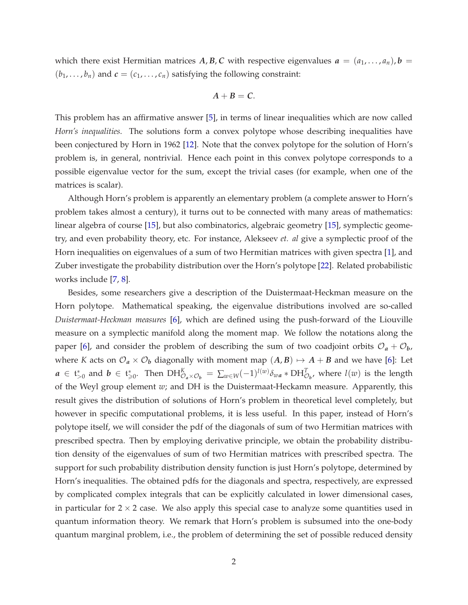which there exist Hermitian matrices A, B, C with respective eigenvalues  $a = (a_1, \ldots, a_n)$ ,  $b =$  $(b_1, \ldots, b_n)$  and  $c = (c_1, \ldots, c_n)$  satisfying the following constraint:

$$
A+B=C.
$$

This problem has an affirmative answer [\[5\]](#page-24-0), in terms of linear inequalities which are now called *Horn's inequalities*. The solutions form a convex polytope whose describing inequalities have been conjectured by Horn in 1962 [\[12\]](#page-25-0). Note that the convex polytope for the solution of Horn's problem is, in general, nontrivial. Hence each point in this convex polytope corresponds to a possible eigenvalue vector for the sum, except the trivial cases (for example, when one of the matrices is scalar).

Although Horn's problem is apparently an elementary problem (a complete answer to Horn's problem takes almost a century), it turns out to be connected with many areas of mathematics: linear algebra of course [\[15\]](#page-25-1), but also combinatorics, algebraic geometry [\[15\]](#page-25-1), symplectic geometry, and even probability theory, etc. For instance, Alekseev *et. al* give a symplectic proof of the Horn inequalities on eigenvalues of a sum of two Hermitian matrices with given spectra [\[1\]](#page-24-1), and Zuber investigate the probability distribution over the Horn's polytope [\[22\]](#page-25-2). Related probabilistic works include [\[7,](#page-24-2) [8\]](#page-24-3).

Besides, some researchers give a description of the Duistermaat-Heckman measure on the Horn polytope. Mathematical speaking, the eigenvalue distributions involved are so-called *Duistermaat-Heckman measures* [\[6\]](#page-24-4), which are defined using the push-forward of the Liouville measure on a symplectic manifold along the moment map. We follow the notations along the paper [\[6\]](#page-24-4), and consider the problem of describing the sum of two coadjoint orbits  $\mathcal{O}_a + \mathcal{O}_b$ , where *K* acts on  $\mathcal{O}_a \times \mathcal{O}_b$  diagonally with moment map  $(A, B) \mapsto A + B$  and we have [\[6\]](#page-24-4): Let  $a \in \mathfrak{t}_{>0}^*$  and  $b \in \mathfrak{t}_{\geqslant 0}^*$ . Then  $DH_{\mathcal{O}_a \times \mathcal{O}_b}^K = \sum_{w \in W} (-1)^{l(w)} \delta_{wa} * DH_{\mathcal{O}_b}^T$ , where  $l(w)$  is the length of the Weyl group element *w*; and DH is the Duistermaat-Heckamn measure. Apparently, this result gives the distribution of solutions of Horn's problem in theoretical level completely, but however in specific computational problems, it is less useful. In this paper, instead of Horn's polytope itself, we will consider the pdf of the diagonals of sum of two Hermitian matrices with prescribed spectra. Then by employing derivative principle, we obtain the probability distribution density of the eigenvalues of sum of two Hermitian matrices with prescribed spectra. The support for such probability distribution density function is just Horn's polytope, determined by Horn's inequalities. The obtained pdfs for the diagonals and spectra, respectively, are expressed by complicated complex integrals that can be explicitly calculated in lower dimensional cases, in particular for  $2 \times 2$  case. We also apply this special case to analyze some quantities used in quantum information theory. We remark that Horn's problem is subsumed into the one-body quantum marginal problem, i.e., the problem of determining the set of possible reduced density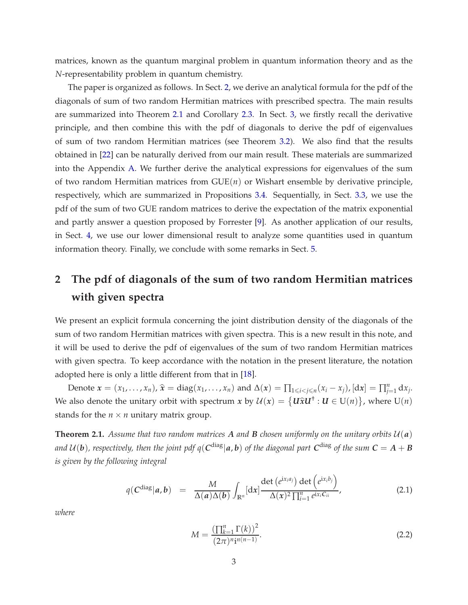matrices, known as the quantum marginal problem in quantum information theory and as the *N*-representability problem in quantum chemistry.

The paper is organized as follows. In Sect. [2,](#page-4-0) we derive an analytical formula for the pdf of the diagonals of sum of two random Hermitian matrices with prescribed spectra. The main results are summarized into Theorem [2.1](#page-4-1) and Corollary [2.3.](#page-7-0) In Sect. [3,](#page-10-0) we firstly recall the derivative principle, and then combine this with the pdf of diagonals to derive the pdf of eigenvalues of sum of two random Hermitian matrices (see Theorem [3.2\)](#page-11-0). We also find that the results obtained in [\[22\]](#page-25-2) can be naturally derived from our main result. These materials are summarized into the Appendix [A.](#page-22-0) We further derive the analytical expressions for eigenvalues of the sum of two random Hermitian matrices from  $GUE(n)$  or Wishart ensemble by derivative principle, respectively, which are summarized in Propositions [3.4.](#page-13-0) Sequentially, in Sect. [3.3,](#page-14-0) we use the pdf of the sum of two GUE random matrices to derive the expectation of the matrix exponential and partly answer a question proposed by Forrester [\[9\]](#page-24-5). As another application of our results, in Sect. [4,](#page-17-0) we use our lower dimensional result to analyze some quantities used in quantum information theory. Finally, we conclude with some remarks in Sect. [5.](#page-21-0)

# <span id="page-4-0"></span>**2 The pdf of diagonals of the sum of two random Hermitian matrices with given spectra**

We present an explicit formula concerning the joint distribution density of the diagonals of the sum of two random Hermitian matrices with given spectra. This is a new result in this note, and it will be used to derive the pdf of eigenvalues of the sum of two random Hermitian matrices with given spectra. To keep accordance with the notation in the present literature, the notation adopted here is only a little different from that in [\[18\]](#page-25-3).

Denote  $x = (x_1, \ldots, x_n)$ ,  $\hat{x} = diag(x_1, \ldots, x_n)$  and  $\Delta(x) = \prod_{1 \leq i < j \leq n} (x_i - x_j)$ ,  $[dx] = \prod_{j=1}^n dx_j$ . We also denote the unitary orbit with spectrum  $x$  by  $\mathcal{U}(x) = \{ \mathbf{U} \hat{x} \mathbf{U}^{\dagger} : \mathbf{U} \in U(n) \}$ , where  $U(n)$ stands for the  $n \times n$  unitary matrix group.

<span id="page-4-1"></span>**Theorem 2.1.** Assume that two random matrices A and B chosen uniformly on the unitary orbits  $U(a)$ *and U(***b**), respectively, then the joint pdf  $q(C^{\text{diag}}|a,b)$  of the diagonal part  $C^{\text{diag}}$  of the sum  $C=A+B$ *is given by the following integral*

$$
q(C^{\text{diag}}|a,b) = \frac{M}{\Delta(a)\Delta(b)} \int_{\mathbb{R}^n} [\mathrm{d}x] \frac{\det(e^{ix_i a_j}) \det(e^{ix_i b_j})}{\Delta(x)^2 \prod_{i=1}^n e^{ix_i C_{ii}}},
$$
(2.1)

<span id="page-4-2"></span>
$$
M = \frac{\left(\prod_{k=1}^{n} \Gamma(k)\right)^2}{(2\pi)^{n} i^{n(n-1)}}.
$$
\n(2.2)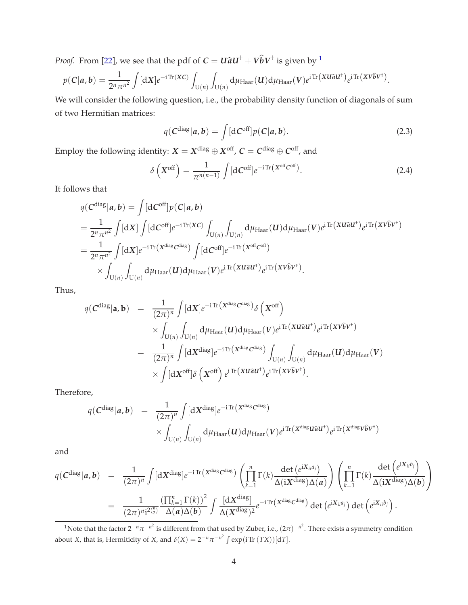*Proof.* From [\[22\]](#page-25-2), we see that the pdf of  $C = U \hat{a} U^{\dagger} + V \hat{b} V^{\dagger}$  is given by <sup>[1](#page-5-0)</sup>

$$
p(C|\boldsymbol{a},\boldsymbol{b})=\frac{1}{2^n\pi^{n^2}}\int [\mathrm{d}X]e^{-i\operatorname{Tr}(XC)}\int_{\mathrm{U}(n)}\int_{\mathrm{U}(n)}\mathrm{d}\mu_{\text{Haar}}(\boldsymbol{U})\mathrm{d}\mu_{\text{Haar}}(\boldsymbol{V})e^{i\operatorname{Tr}(X\boldsymbol{U}\boldsymbol{\hat{a}}\boldsymbol{U}^{\dagger})}e^{i\operatorname{Tr}(X\boldsymbol{V}\boldsymbol{\hat{b}}\boldsymbol{V}^{\dagger})}.
$$

We will consider the following question, i.e., the probability density function of diagonals of sum of two Hermitian matrices:

$$
q(C^{\text{diag}}|a,b) = \int [dC^{\text{off}}] p(C|a,b). \tag{2.3}
$$

Employ the following identity:  $X = X^{\text{diag}} \oplus X^{\text{off}}$ ,  $C = C^{\text{diag}} \oplus C^{\text{off}}$ , and

$$
\delta\left(X^{\text{off}}\right) = \frac{1}{\pi^{n(n-1)}} \int [\mathrm{d}C^{\text{off}}] e^{-i \operatorname{Tr}\left(X^{\text{off}} C^{\text{off}}\right)}.
$$
\n(2.4)

It follows that

$$
q(C^{diag}|a,b) = \int [dC^{off}]p(C|a,b)
$$
  
= 
$$
\frac{1}{2^n \pi^{n^2}} \int [dX] \int [dC^{off}]e^{-i \text{Tr}(XC)} \int_{U(n)} \int_{U(n)} d\mu_{Haar}(U) d\mu_{Haar}(V)e^{i \text{Tr}(X \hat{u}aU^{\dagger})}e^{i \text{Tr}(X \hat{V} \hat{b}V^{\dagger})}
$$
  
= 
$$
\frac{1}{2^n \pi^{n^2}} \int [dX]e^{-i \text{Tr}(X^{diag}C^{diag})} \int [dC^{off}]e^{-i \text{Tr}(X^{off}C^{off})}
$$
  

$$
\times \int_{U(n)} \int_{U(n)} d\mu_{Haar}(U) d\mu_{Haar}(V)e^{i \text{Tr}(X \hat{u}aU^{\dagger})}e^{i \text{Tr}(X \hat{V} \hat{b}V^{\dagger})}.
$$

Thus,

$$
q(C^{\text{diag}}|\mathbf{a}, \mathbf{b}) = \frac{1}{(2\pi)^n} \int [\mathrm{d}X] e^{-i \mathrm{Tr} (X^{\text{diag}} C^{\text{diag}})} \delta \left(X^{\text{off}}\right)
$$
  

$$
\times \int_{U(n)} \int_{U(n)} \mathrm{d} \mu_{\text{Haar}}(\mathbf{U}) \mathrm{d} \mu_{\text{Haar}}(\mathbf{V}) e^{i \mathrm{Tr} (X \mathbf{U} \hat{\mathbf{a}} \mathbf{U}^{\dagger})} e^{i \mathrm{Tr} (X \mathbf{V} \hat{\mathbf{b}} \mathbf{V}^{\dagger})}
$$
  

$$
= \frac{1}{(2\pi)^n} \int [\mathrm{d}X^{\text{diag}}] e^{-i \mathrm{Tr} (X^{\text{diag}} C^{\text{diag}})} \int_{U(n)} \int_{U(n)} \mathrm{d} \mu_{\text{Haar}}(\mathbf{U}) \mathrm{d} \mu_{\text{Haar}}(\mathbf{V})
$$
  

$$
\times \int [\mathrm{d}X^{\text{off}}] \delta \left(X^{\text{off}}\right) e^{i \mathrm{Tr} (X \mathbf{U} \hat{\mathbf{a}} \mathbf{U}^{\dagger})} e^{i \mathrm{Tr} (X \mathbf{V} \hat{\mathbf{b}} \mathbf{V}^{\dagger})}.
$$

Therefore,

$$
q(C^{\text{diag}}|a,b) = \frac{1}{(2\pi)^n} \int [dX^{\text{diag}}] e^{-i \text{Tr} (X^{\text{diag}} C^{\text{diag}})} \times \int_{U(n)} \int_{U(n)} d\mu_{\text{Haar}}(U) d\mu_{\text{Haar}}(V) e^{i \text{Tr} (X^{\text{diag}} U \hat{a} U^{\dagger})} e^{i \text{Tr} (X^{\text{diag}} V \hat{b} V^{\dagger})}
$$

and

$$
q(C^{\text{diag}}|\boldsymbol{a},\boldsymbol{b}) = \frac{1}{(2\pi)^n} \int [\mathrm{d}X^{\text{diag}}] e^{-i \mathrm{Tr} (X^{\text{diag}} C^{\text{diag}})} \left( \prod_{k=1}^n \Gamma(k) \frac{\det (e^{iX_{ii}a_j})}{\Delta(iX^{\text{diag}}) \Delta(\boldsymbol{a})} \right) \left( \prod_{k=1}^n \Gamma(k) \frac{\det (e^{iX_{ii}b_j})}{\Delta(iX^{\text{diag}}) \Delta(\boldsymbol{b})} \right)
$$
  

$$
= \frac{1}{(2\pi)^{n} i^{2\binom{n}{2}}} \frac{\left( \prod_{k=1}^n \Gamma(k) \right)^2}{\Delta(\boldsymbol{a}) \Delta(\boldsymbol{b})} \int \frac{[\mathrm{d}X^{\text{diag}}]}{\Delta(X^{\text{diag}})^2} e^{-i \mathrm{Tr} (X^{\text{diag}} C^{\text{diag}})} \det (e^{iX_{ii}a_j}) \det (e^{iX_{ii}b_j}).
$$

<span id="page-5-0"></span><sup>&</sup>lt;sup>1</sup>Note that the factor 2<sup>-*n*</sup> $\pi$ <sup>-*n*2</sup> is different from that used by Zuber, i.e.,  $(2\pi)^{-n^2}$ . There exists a symmetry condition about *X*, that is, Hermiticity of *X*, and  $\delta(X) = 2^{-n}\pi^{-n^2} \int exp(i \text{Tr} (TX)) [dT]$ .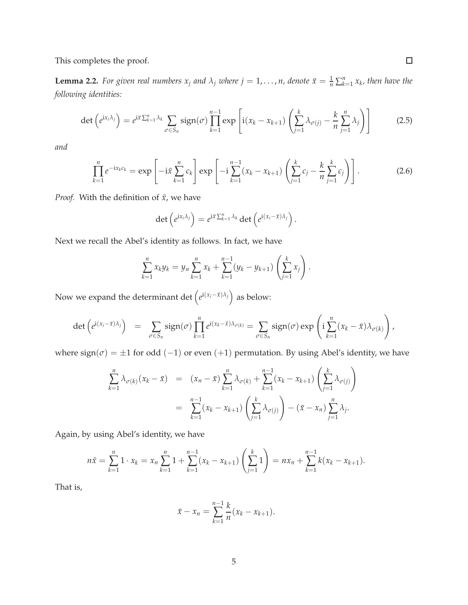This completes the proof.

**Lemma 2.2.** For given real numbers  $x_j$  and  $\lambda_j$  where  $j = 1, \ldots, n$ , denote  $\bar{x} = \frac{1}{n} \sum_{k=1}^n x_k$ , then have the *following identities:*

<span id="page-6-1"></span>
$$
\det\left(e^{ix_i\lambda_j}\right) = e^{i\bar{x}\sum_{k=1}^n\lambda_k} \sum_{\sigma \in S_n} sign(\sigma) \prod_{k=1}^{n-1} exp\left[i(x_k - x_{k+1})\left(\sum_{j=1}^k \lambda_{\sigma(j)} - \frac{k}{n}\sum_{j=1}^n \lambda_j\right)\right]
$$
(2.5)

*and*

<span id="page-6-0"></span>
$$
\prod_{k=1}^{n} e^{-ix_k c_k} = \exp\left[-i\bar{x} \sum_{k=1}^{n} c_k\right] \exp\left[-i\sum_{k=1}^{n-1} (x_k - x_{k+1}) \left(\sum_{j=1}^{k} c_j - \frac{k}{n} \sum_{j=1}^{k} c_j\right)\right].
$$
 (2.6)

*Proof.* With the definition of  $\bar{x}$ , we have

$$
\det\left(e^{\mathrm{i}x_i\lambda_j}\right)=e^{\mathrm{i}\bar{x}\sum_{k=1}^n\lambda_k}\det\left(e^{\mathrm{i}(x_i-\bar{x})\lambda_j}\right).
$$

Next we recall the Abel's identity as follows. In fact, we have

$$
\sum_{k=1}^{n} x_k y_k = y_n \sum_{k=1}^{n} x_k + \sum_{k=1}^{n-1} (y_k - y_{k+1}) \left( \sum_{j=1}^{k} x_j \right).
$$

Now we expand the determinant det  $(e^{i(x_i - \bar{x})\lambda_j})$  as below:

$$
\det\left(e^{i(x_i-\bar{x})\lambda_j}\right) = \sum_{\sigma \in S_n} sign(\sigma) \prod_{k=1}^n e^{i(x_k-\bar{x})\lambda_{\sigma(k)}} = \sum_{\sigma \in S_n} sign(\sigma) \exp\left(i \sum_{k=1}^n (x_k-\bar{x})\lambda_{\sigma(k)}\right),
$$

where  $sign(\sigma) = \pm 1$  for odd (-1) or even (+1) permutation. By using Abel's identity, we have

$$
\sum_{k=1}^{n} \lambda_{\sigma(k)}(x_k - \bar{x}) = (x_n - \bar{x}) \sum_{k=1}^{n} \lambda_{\sigma(k)} + \sum_{k=1}^{n-1} (x_k - x_{k+1}) \left( \sum_{j=1}^{k} \lambda_{\sigma(j)} \right)
$$
  
= 
$$
\sum_{k=1}^{n-1} (x_k - x_{k+1}) \left( \sum_{j=1}^{k} \lambda_{\sigma(j)} \right) - (\bar{x} - x_n) \sum_{j=1}^{n} \lambda_j.
$$

Again, by using Abel's identity, we have

$$
n\bar{x} = \sum_{k=1}^{n} 1 \cdot x_k = x_n \sum_{k=1}^{n} 1 + \sum_{k=1}^{n-1} (x_k - x_{k+1}) \left( \sum_{j=1}^{k} 1 \right) = nx_n + \sum_{k=1}^{n-1} k(x_k - x_{k+1}).
$$

That is,

$$
\bar{x} - x_n = \sum_{k=1}^{n-1} \frac{k}{n} (x_k - x_{k+1}).
$$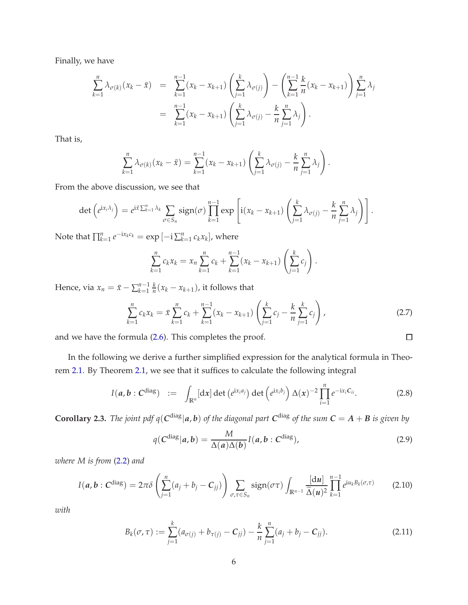Finally, we have

$$
\sum_{k=1}^{n} \lambda_{\sigma(k)}(x_k - \bar{x}) = \sum_{k=1}^{n-1} (x_k - x_{k+1}) \left( \sum_{j=1}^{k} \lambda_{\sigma(j)} \right) - \left( \sum_{k=1}^{n-1} \frac{k}{n} (x_k - x_{k+1}) \right) \sum_{j=1}^{n} \lambda_j
$$
  
= 
$$
\sum_{k=1}^{n-1} (x_k - x_{k+1}) \left( \sum_{j=1}^{k} \lambda_{\sigma(j)} - \frac{k}{n} \sum_{j=1}^{n} \lambda_j \right).
$$

That is,

$$
\sum_{k=1}^{n} \lambda_{\sigma(k)}(x_k - \bar{x}) = \sum_{k=1}^{n-1} (x_k - x_{k+1}) \left( \sum_{j=1}^{k} \lambda_{\sigma(j)} - \frac{k}{n} \sum_{j=1}^{n} \lambda_j \right).
$$

From the above discussion, we see that

$$
\det\left(e^{ix_i\lambda_j}\right)=e^{ix\sum_{k=1}^n\lambda_k}\sum_{\sigma\in S_n}\text{sign}(\sigma)\prod_{k=1}^{n-1}\exp\left[i(x_k-x_{k+1})\left(\sum_{j=1}^k\lambda_{\sigma(j)}-\frac{k}{n}\sum_{j=1}^n\lambda_j\right)\right].
$$

Note that  $\prod_{k=1}^{n} e^{-i x_k c_k} = \exp \left[-i \sum_{k=1}^{n} c_k x_k \right]$ , where

$$
\sum_{k=1}^{n} c_k x_k = x_n \sum_{k=1}^{n} c_k + \sum_{k=1}^{n-1} (x_k - x_{k+1}) \left( \sum_{j=1}^{k} c_j \right).
$$

Hence, via  $x_n = \bar{x} - \sum_{k=1}^{n-1} \frac{k}{n}$  $\frac{k}{n}(x_k - x_{k+1})$ , it follows that

<span id="page-7-4"></span>
$$
\sum_{k=1}^{n} c_k x_k = \bar{x} \sum_{k=1}^{n} c_k + \sum_{k=1}^{n-1} (x_k - x_{k+1}) \left( \sum_{j=1}^{k} c_j - \frac{k}{n} \sum_{j=1}^{k} c_j \right), \tag{2.7}
$$

 $\Box$ 

and we have the formula [\(2.6\)](#page-6-0). This completes the proof.

In the following we derive a further simplified expression for the analytical formula in Theorem [2.1.](#page-4-1) By Theorem [2.1,](#page-4-1) we see that it suffices to calculate the following integral

$$
I(a,b:C^{\text{diag}}) := \int_{\mathbb{R}^n} [dx] \det(e^{ix_i a_j}) \det(e^{ix_i b_j}) \Delta(x)^{-2} \prod_{i=1}^n e^{-ix_i C_{ii}}.
$$
 (2.8)

<span id="page-7-0"></span>**Corollary 2.3.** The joint pdf  $q(C^{diag}|a, b)$  of the diagonal part  $C^{diag}$  of the sum  $C = A + B$  is given by

<span id="page-7-1"></span>
$$
q(C^{\text{diag}}|a,b) = \frac{M}{\Delta(a)\Delta(b)}I(a,b:C^{\text{diag}}),
$$
\n(2.9)

*where M is from* [\(2.2\)](#page-4-2) *and*

<span id="page-7-3"></span>
$$
I(a,b:Cdiag) = 2\pi\delta\left(\sum_{j=1}^{n}(a_j+b_j-C_{jj})\right)\sum_{\sigma,\tau\in S_n}\text{sign}(\sigma\tau)\int_{\mathbb{R}^{n-1}}\frac{[du]}{\tilde{\Delta}(u)^2}\prod_{k=1}^{n-1}e^{\mathrm{i}u_kB_k(\sigma,\tau)}\qquad(2.10)
$$

*with*

<span id="page-7-2"></span>
$$
B_k(\sigma, \tau) := \sum_{j=1}^k (a_{\sigma(j)} + b_{\tau(j)} - C_{jj}) - \frac{k}{n} \sum_{j=1}^n (a_j + b_j - C_{jj}).
$$
\n(2.11)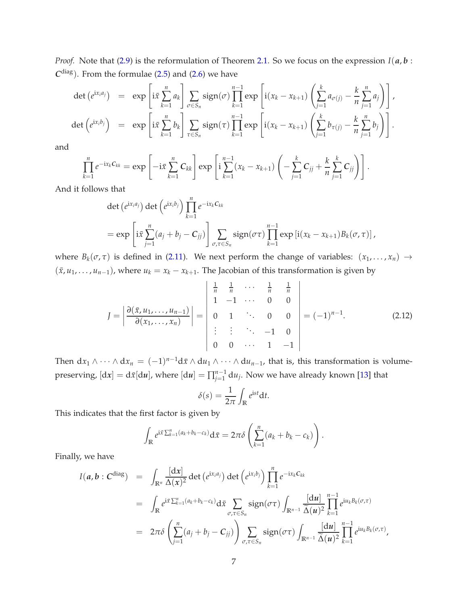*Proof.* Note that [\(2.9\)](#page-7-1) is the reformulation of Theorem [2.1.](#page-4-1) So we focus on the expression *I*(*a*, *b* :  $C^{diag}$ ). From the formulae [\(2.5\)](#page-6-1) and [\(2.6\)](#page-6-0) we have

$$
\det\left(e^{\mathrm{i}x_i a_j}\right) = \exp\left[\mathrm{i}\bar{x} \sum_{k=1}^n a_k\right] \sum_{\sigma \in S_n} \mathrm{sign}(\sigma) \prod_{k=1}^{n-1} \exp\left[\mathrm{i}(x_k - x_{k+1}) \left(\sum_{j=1}^k a_{\sigma(j)} - \frac{k}{n} \sum_{j=1}^n a_j\right)\right],
$$
\n
$$
\det\left(e^{\mathrm{i}x_i b_j}\right) = \exp\left[\mathrm{i}\bar{x} \sum_{k=1}^n b_k\right] \sum_{\tau \in S_n} \mathrm{sign}(\tau) \prod_{k=1}^{n-1} \exp\left[\mathrm{i}(x_k - x_{k+1}) \left(\sum_{j=1}^k b_{\tau(j)} - \frac{k}{n} \sum_{j=1}^n b_j\right)\right].
$$

and

$$
\prod_{k=1}^{n} e^{-ix_kC_{kk}} = \exp\left[-i\bar{x}\sum_{k=1}^{n} C_{kk}\right] \exp\left[i\sum_{k=1}^{n-1} (x_k - x_{k+1})\left(-\sum_{j=1}^{k} C_{jj} + \frac{k}{n}\sum_{j=1}^{k} C_{jj}\right)\right].
$$

And it follows that

$$
\det (e^{ix_i a_j}) \det (e^{ix_i b_j}) \prod_{k=1}^n e^{-ix_k C_{kk}}
$$
\n
$$
= \exp \left[ i \bar{x} \sum_{j=1}^n (a_j + b_j - C_{jj}) \right] \sum_{\sigma, \tau \in S_n} \operatorname{sign}(\sigma \tau) \prod_{k=1}^{n-1} \exp \left[ i (x_k - x_{k+1}) B_k(\sigma, \tau) \right],
$$

where  $B_k(\sigma, \tau)$  is defined in [\(2.11\)](#page-7-2). We next perform the change of variables:  $(x_1, \ldots, x_n) \rightarrow$  $(\bar{x}, u_1, \ldots, u_{n-1})$ , where  $u_k = x_k - x_{k+1}$ . The Jacobian of this transformation is given by

$$
J = \left| \frac{\partial(\bar{x}, u_1, \dots, u_{n-1})}{\partial(x_1, \dots, x_n)} \right| = \left| \begin{array}{cccc} \frac{1}{n} & \frac{1}{n} & \cdots & \frac{1}{n} & \frac{1}{n} \\ 1 & -1 & \cdots & 0 & 0 \\ 0 & 1 & \ddots & 0 & 0 \\ \vdots & \vdots & \ddots & -1 & 0 \\ 0 & 0 & \cdots & 1 & -1 \end{array} \right| = (-1)^{n-1}.
$$
 (2.12)

.

Then  $dx_1 \wedge \cdots \wedge dx_n = (-1)^{n-1} dx \wedge du_1 \wedge \cdots \wedge du_{n-1}$ , that is, this transformation is volumepreserving,  $[dx] = d\bar{x}[du]$ , where  $[du] = \prod_{j=1}^{n-1} du_j$ . Now we have already known [\[13\]](#page-25-4) that

$$
\delta(s) = \frac{1}{2\pi} \int_{\mathbb{R}} e^{ist} dt.
$$

This indicates that the first factor is given by

$$
\int_{\mathbb{R}} e^{i\bar{x}\sum_{k=1}^{n}(a_k+b_k-c_k)} d\bar{x} = 2\pi\delta \left( \sum_{k=1}^{n}(a_k+b_k-c_k) \right)
$$

Finally, we have

$$
I(a,b:C^{diag}) = \int_{\mathbb{R}^n} \frac{[dx]}{\Delta(x)^2} \det(e^{ix_i a_j}) \det(e^{ix_i b_j}) \prod_{k=1}^n e^{-ix_k C_{kk}}
$$
  
\n
$$
= \int_{\mathbb{R}} e^{i\bar{x} \sum_{k=1}^n (a_k + b_k - c_k)} d\bar{x} \sum_{\sigma,\tau \in S_n} sign(\sigma \tau) \int_{\mathbb{R}^{n-1}} \frac{[du]}{\tilde{\Delta}(u)^2} \prod_{k=1}^{n-1} e^{iu_k B_k(\sigma,\tau)}
$$
  
\n
$$
= 2\pi \delta \left( \sum_{j=1}^n (a_j + b_j - C_{jj}) \right) \sum_{\sigma,\tau \in S_n} sign(\sigma \tau) \int_{\mathbb{R}^{n-1}} \frac{[du]}{\tilde{\Delta}(u)^2} \prod_{k=1}^{n-1} e^{iu_k B_k(\sigma,\tau)},
$$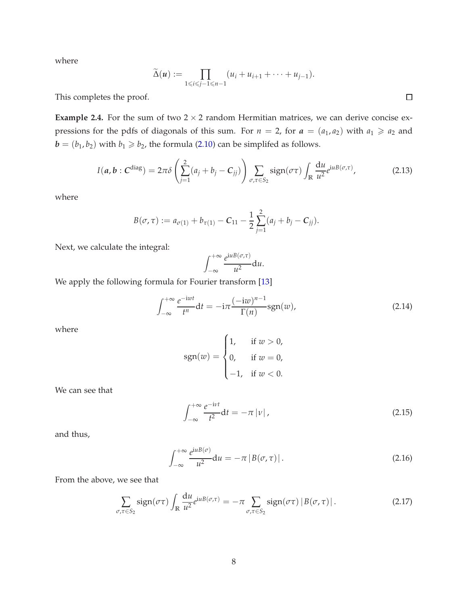where

$$
\widetilde{\Delta}(u) := \prod_{1 \leq i \leq j-1 \leq n-1} (u_i + u_{i+1} + \cdots + u_{j-1}).
$$

This completes the proof.

**Example 2.4.** For the sum of two  $2 \times 2$  random Hermitian matrices, we can derive concise expressions for the pdfs of diagonals of this sum. For  $n = 2$ , for  $a = (a_1, a_2)$  with  $a_1 \ge a_2$  and  **with**  $b<sub>1</sub> \ge b<sub>2</sub>$ **, the formula [\(2.10\)](#page-7-3) can be simplifed as follows.** 

<span id="page-9-0"></span>
$$
I(a,b:Cdiag) = 2\pi\delta\left(\sum_{j=1}^{2}(a_j+b_j-C_{jj})\right)\sum_{\sigma,\tau\in S_2}\text{sign}(\sigma\tau)\int_{\mathbb{R}}\frac{du}{u^2}e^{iuB(\sigma,\tau)},\tag{2.13}
$$

where

$$
B(\sigma,\tau):=a_{\sigma(1)}+b_{\tau(1)}-C_{11}-\frac{1}{2}\sum_{j=1}^2(a_j+b_j-C_{jj}).
$$

Next, we calculate the integral:

$$
\int_{-\infty}^{+\infty} \frac{e^{iuB(\sigma,\tau)}}{u^2} \mathrm{d}u.
$$

We apply the following formula for Fourier transform [\[13\]](#page-25-4)

$$
\int_{-\infty}^{+\infty} \frac{e^{-iwt}}{t^n} dt = -i\pi \frac{(-iw)^{n-1}}{\Gamma(n)} \text{sgn}(w),\tag{2.14}
$$

where

$$
sgn(w) = \begin{cases} 1, & \text{if } w > 0, \\ 0, & \text{if } w = 0, \\ -1, & \text{if } w < 0. \end{cases}
$$

We can see that

$$
\int_{-\infty}^{+\infty} \frac{e^{-i\nu t}}{t^2} dt = -\pi |\nu| \,, \tag{2.15}
$$

and thus,

$$
\int_{-\infty}^{+\infty} \frac{e^{iuB(\sigma)}}{u^2} du = -\pi |B(\sigma, \tau)|.
$$
 (2.16)

From the above, we see that

$$
\sum_{\sigma,\tau \in S_2} sign(\sigma \tau) \int_{\mathbb{R}} \frac{du}{u^2} e^{iuB(\sigma,\tau)} = -\pi \sum_{\sigma,\tau \in S_2} sign(\sigma \tau) |B(\sigma,\tau)|.
$$
 (2.17)

 $\Box$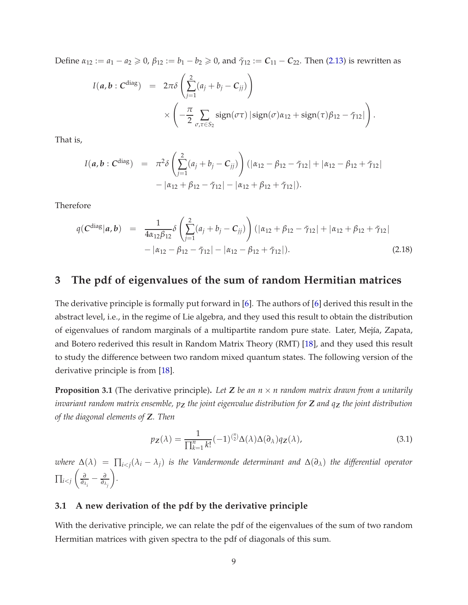Define  $\alpha_{12} := a_1 - a_2 \ge 0$ ,  $\beta_{12} := b_1 - b_2 \ge 0$ , and  $\tilde{\gamma}_{12} := C_{11} - C_{22}$ . Then [\(2.13\)](#page-9-0) is rewritten as

$$
I(a,b:Cdiag) = 2\pi\delta\left(\sum_{j=1}^{2}(a_j+b_j-C_{jj})\right)
$$
  
 
$$
\times\left(-\frac{\pi}{2}\sum_{\sigma,\tau\in S_2}\text{sign}(\sigma\tau)\left|\text{sign}(\sigma)a_{12}+\text{sign}(\tau)\beta_{12}-\tilde{\gamma}_{12}\right|\right).
$$

That is,

$$
I(a, b : C^{diag}) = \pi^2 \delta \left( \sum_{j=1}^2 (a_j + b_j - C_{jj}) \right) (|\alpha_{12} - \beta_{12} - \tilde{\gamma}_{12}| + |\alpha_{12} - \beta_{12} + \tilde{\gamma}_{12}| - |\alpha_{12} + \beta_{12} - \tilde{\gamma}_{12}| - |\alpha_{12} + \beta_{12} + \tilde{\gamma}_{12}|).
$$

Therefore

<span id="page-10-2"></span>
$$
q(\mathbf{C}^{\text{diag}}|\mathbf{a}, \mathbf{b}) = \frac{1}{4\alpha_{12}\beta_{12}} \delta\left(\sum_{j=1}^{2} (a_j + b_j - \mathbf{C}_{jj})\right) (|\alpha_{12} + \beta_{12} - \tilde{\gamma}_{12}| + |\alpha_{12} + \beta_{12} + \tilde{\gamma}_{12}| - |\alpha_{12} - \beta_{12} - \tilde{\gamma}_{12}| - |\alpha_{12} - \beta_{12} + \tilde{\gamma}_{12}|). \tag{2.18}
$$

### <span id="page-10-0"></span>**3 The pdf of eigenvalues of the sum of random Hermitian matrices**

The derivative principle is formally put forward in [\[6\]](#page-24-4). The authors of [\[6\]](#page-24-4) derived this result in the abstract level, i.e., in the regime of Lie algebra, and they used this result to obtain the distribution of eigenvalues of random marginals of a multipartite random pure state. Later, Mejía, Zapata, and Botero rederived this result in Random Matrix Theory (RMT) [\[18\]](#page-25-3), and they used this result to study the difference between two random mixed quantum states. The following version of the derivative principle is from [\[18\]](#page-25-3).

<span id="page-10-3"></span>**Proposition 3.1** (The derivative principle). Let **Z** be an  $n \times n$  random matrix drawn from a unitarily *invariant random matrix ensemble, p<sup>Z</sup> the joint eigenvalue distribution for Z and q<sup>Z</sup> the joint distribution of the diagonal elements of Z. Then*

<span id="page-10-1"></span>
$$
p_Z(\lambda) = \frac{1}{\prod_{k=1}^n k!} (-1)^{\binom{n}{2}} \Delta(\lambda) \Delta(\partial_\lambda) q_Z(\lambda), \tag{3.1}
$$

*where* ∆(*λ*) = ∏*i*<*<sup>j</sup>* (*λ<sup>i</sup>* − *<sup>λ</sup>j*) *is the Vandermonde determinant and* <sup>∆</sup>(*∂λ*) *the differential operator* ∏*i*<*<sup>j</sup> ∂*  $\frac{\partial}{\partial_{\lambda_{i}}} - \frac{\partial}{\partial_{\lambda_{j}}}$  $\overline{ }$ *.*

#### **3.1 A new derivation of the pdf by the derivative principle**

With the derivative principle, we can relate the pdf of the eigenvalues of the sum of two random Hermitian matrices with given spectra to the pdf of diagonals of this sum.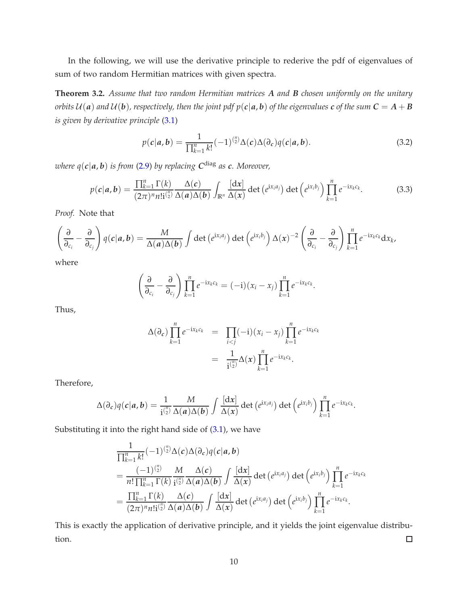In the following, we will use the derivative principle to rederive the pdf of eigenvalues of sum of two random Hermitian matrices with given spectra.

<span id="page-11-0"></span>**Theorem 3.2.** *Assume that two random Hermitian matrices A and B chosen uniformly on the unitary orbits*  $U(a)$  *and*  $U(b)$ *, respectively, then the joint pdf*  $p(c|a,b)$  *of the eigenvalues c of the sum*  $C = A + B$ *is given by derivative principle* [\(3.1\)](#page-10-1)

$$
p(c|a,b) = \frac{1}{\prod_{k=1}^{n} k!} (-1)^{\binom{n}{2}} \Delta(c) \Delta(\partial_c) q(c|a,b).
$$
 (3.2)

*where q*(*c*|*a*, *<sup>b</sup>*) *is from* [\(2.9\)](#page-7-1) *by replacing <sup>C</sup>* diag *as c. Moreover,*

<span id="page-11-1"></span>
$$
p(c|\boldsymbol{a},\boldsymbol{b}) = \frac{\prod_{k=1}^{n} \Gamma(k)}{(2\pi)^n n! i^{n/2}} \frac{\Delta(c)}{\Delta(\boldsymbol{a}) \Delta(\boldsymbol{b})} \int_{\mathbb{R}^n} \frac{[dx]}{\Delta(x)} \det(e^{ix_i a_j}) \det(e^{ix_i b_j}) \prod_{k=1}^{n} e^{-ix_k c_k}.
$$
 (3.3)

*Proof.* Note that

$$
\left(\frac{\partial}{\partial_{c_i}}-\frac{\partial}{\partial_{c_j}}\right)q(c|a,b)=\frac{M}{\Delta(a)\Delta(b)}\int\det\left(e^{ix_ia_j}\right)\det\left(e^{ix_ib_j}\right)\Delta(x)^{-2}\left(\frac{\partial}{\partial_{c_i}}-\frac{\partial}{\partial_{c_j}}\right)\prod_{k=1}^n e^{-ix_kc_k}dx_k,
$$

where

$$
\left(\frac{\partial}{\partial_{c_i}}-\frac{\partial}{\partial_{c_j}}\right)\prod_{k=1}^n e^{-ix_kc_k}=(-i)(x_i-x_j)\prod_{k=1}^n e^{-ix_kc_k}.
$$

Thus,

$$
\Delta(\partial_c) \prod_{k=1}^n e^{-ix_k c_k} = \prod_{i < j} (-i) (x_i - x_j) \prod_{k=1}^n e^{-ix_k c_k} = \frac{1}{i^{(n)}_2} \Delta(x) \prod_{k=1}^n e^{-ix_k c_k}.
$$

Therefore,

$$
\Delta(\partial_c)q(c|a,b)=\frac{1}{i^{(n)}_2}\frac{M}{\Delta(a)\Delta(b)}\int \frac{[dx]}{\Delta(x)}\det(e^{ix_ia_j})\det(e^{ix_ib_j})\prod_{k=1}^n e^{-ix_kc_k}.
$$

Substituting it into the right hand side of [\(3.1\)](#page-10-1), we have

$$
\frac{1}{\prod_{k=1}^{n}k!}(-1)^{\binom{n}{2}}\Delta(c)\Delta(\partial_{c})q(c|a,b)
$$
\n
$$
=\frac{(-1)^{\binom{n}{2}}}{n!\prod_{k=1}^{n}\Gamma(k)}\frac{M}{i\binom{n}{2}}\frac{\Delta(c)}{\Delta(a)\Delta(b)}\int\frac{[dx]}{\Delta(x)}\det(e^{ix_{i}a_{j}})\det(e^{ix_{i}b_{j}})\prod_{k=1}^{n}e^{-ix_{k}c_{k}}
$$
\n
$$
=\frac{\prod_{k=1}^{n}\Gamma(k)}{(2\pi)^{n}n!i\binom{n}{2}}\frac{\Delta(c)}{\Delta(a)\Delta(b)}\int\frac{[dx]}{\Delta(x)}\det(e^{ix_{i}a_{j}})\det(e^{ix_{i}b_{j}})\prod_{k=1}^{n}e^{-ix_{k}c_{k}}.
$$

This is exactly the application of derivative principle, and it yields the joint eigenvalue distribution.  $\Box$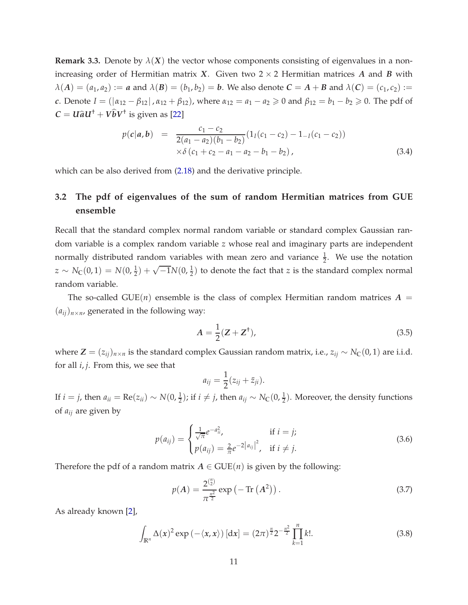**Remark 3.3.** Denote by  $\lambda(X)$  the vector whose components consisting of eigenvalues in a nonincreasing order of Hermitian matrix *X*. Given two  $2 \times 2$  Hermitian matrices *A* and *B* with  $\lambda(A) = (a_1, a_2) := a$  and  $\lambda(B) = (b_1, b_2) = b$ . We also denote  $C = A + B$  and  $\lambda(C) = (c_1, c_2) :=$ *c*. Denote *I* = ( $|α_{12} - β_{12}|$ ,  $α_{12} + β_{12}$ ), where  $α_{12} = a_1 - a_2 ≥ 0$  and  $β_{12} = b_1 - b_2 ≥ 0$ . The pdf of  $C = U \hat{a} U^{\dagger} + V \hat{b} V^{\dagger}$  is given as [\[22\]](#page-25-2)

$$
p(c|a,b) = \frac{c_1 - c_2}{2(a_1 - a_2)(b_1 - b_2)} (1_I(c_1 - c_2) - 1_{-I}(c_1 - c_2))
$$
  
 
$$
\times \delta (c_1 + c_2 - a_1 - a_2 - b_1 - b_2),
$$
 (3.4)

which can be also derived from [\(2.18\)](#page-10-2) and the derivative principle.

## **3.2 The pdf of eigenvalues of the sum of random Hermitian matrices from GUE ensemble**

Recall that the standard complex normal random variable or standard complex Gaussian random variable is a complex random variable *z* whose real and imaginary parts are independent normally distributed random variables with mean zero and variance  $\frac{1}{2}$ . We use the notation  $z \sim N_{\mathbb{C}}(0,1) = N(0,\frac{1}{2}) + \sqrt{-1}N(0,\frac{1}{2})$  to denote the fact that *z* is the standard complex normal random variable.

The so-called GUE(*n*) ensemble is the class of complex Hermitian random matrices  $A =$  $(a_{ij})_{n \times n}$ , generated in the following way:

<span id="page-12-0"></span>
$$
A = \frac{1}{2} (Z + Z^{\dagger}), \tag{3.5}
$$

where  $\mathbf{Z} = (z_{ij})_{n \times n}$  is the standard complex Gaussian random matrix, i.e.,  $z_{ij} \sim N_{\mathbb{C}}(0, 1)$  are i.i.d. for all *i*, *j*. From this, we see that

$$
a_{ij}=\frac{1}{2}(z_{ij}+\bar{z}_{ji}).
$$

If *i* = *j*, then  $a_{ii}$  = Re( $z_{ii}$ ) ∼  $N(0, \frac{1}{2})$ ; if *i* ≠ *j*, then  $a_{ij}$  ∼  $N_C(0, \frac{1}{2})$ . Moreover, the density functions of *aij* are given by

$$
p(a_{ij}) = \begin{cases} \frac{1}{\sqrt{\pi}} e^{-a_{ii}^2}, & \text{if } i = j; \\ p(a_{ij}) = \frac{2}{\pi} e^{-2|a_{ij}|^2}, & \text{if } i \neq j. \end{cases}
$$
(3.6)

Therefore the pdf of a random matrix  $A \in \text{GUE}(n)$  is given by the following:

<span id="page-12-1"></span>
$$
p(A) = \frac{2^{\binom{n}{2}}}{\pi^{\frac{n^2}{2}}} \exp(-\operatorname{Tr}(A^2)).
$$
\n(3.7)

As already known [\[2\]](#page-24-6),

$$
\int_{\mathbb{R}^n} \Delta(x)^2 \exp\left(-\langle x, x \rangle\right) \left[ dx \right] = (2\pi)^{\frac{n}{2}} 2^{-\frac{n^2}{2}} \prod_{k=1}^n k!.
$$
 (3.8)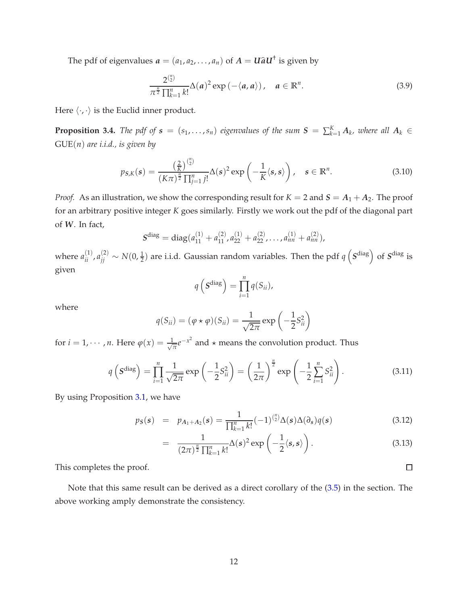The pdf of eigenvalues  $a = (a_1, a_2, \ldots, a_n)$  of  $A = U \hat{a} U^{\dagger}$  is given by

*n*

$$
\frac{2^{\binom{n}{2}}}{\pi^{\frac{n}{2}}\prod_{k=1}^{n}k!}\Delta(a)^2\exp\left(-\langle a,a\rangle\right),\quad a\in\mathbb{R}^n.
$$
 (3.9)

Here  $\langle \cdot, \cdot \rangle$  is the Euclid inner product.

<span id="page-13-0"></span>**Proposition 3.4.** *The pdf of*  $s = (s_1, \ldots, s_n)$  *eigenvalues of the sum*  $S = \sum_{k=1}^{K} A_k$ *, where all*  $A_k \in$ GUE(*n*) *are i.i.d., is given by*

$$
p_{\mathcal{S},K}(\mathbf{s}) = \frac{\left(\frac{2}{K}\right)^{\binom{n}{2}}}{\left(K\pi\right)^{\frac{n}{2}}\prod_{j=1}^{n}j!} \Delta(\mathbf{s})^2 \exp\left(-\frac{1}{K}\langle \mathbf{s}, \mathbf{s} \rangle\right), \quad \mathbf{s} \in \mathbb{R}^n. \tag{3.10}
$$

*Proof.* As an illustration, we show the corresponding result for  $K = 2$  and  $S = A_1 + A_2$ . The proof for an arbitrary positive integer *K* goes similarly. Firstly we work out the pdf of the diagonal part of *W*. In fact,

$$
Sdiag = diag(a11(1) + a11(2), a22(1) + a22(2),..., ann(1) + ann(2)),
$$

where  $a_{ii}^{(1)}$ ,  $a_{jj}^{(2)} \sim N(0, \frac{1}{2})$  are i.i.d. Gaussian random variables. Then the pdf  $q\left(S^{\text{diag}}\right)$  of  $S^{\text{diag}}$  is given

$$
q\left(\mathbf{S}^{\text{diag}}\right)=\prod_{i=1}^n q(S_{ii}),
$$

where

$$
q(S_{ii}) = (\varphi \star \varphi)(S_{ii}) = \frac{1}{\sqrt{2\pi}} \exp\left(-\frac{1}{2}S_{ii}^2\right)
$$

for  $i = 1, \dots, n$ . Here  $\varphi(x) = \frac{1}{\sqrt{x}}$  $\frac{1}{\pi}e^{-x^2}$  and  $\star$  means the convolution product. Thus

$$
q\left(S^{\text{diag}}\right) = \prod_{i=1}^{n} \frac{1}{\sqrt{2\pi}} \exp\left(-\frac{1}{2}S_{ii}^{2}\right) = \left(\frac{1}{2\pi}\right)^{\frac{n}{2}} \exp\left(-\frac{1}{2}\sum_{i=1}^{n} S_{ii}^{2}\right).
$$
 (3.11)

By using Proposition [3.1,](#page-10-3) we have

$$
p_S(s) = p_{A_1 + A_2}(s) = \frac{1}{\prod_{k=1}^n k!} (-1)^{\binom{n}{2}} \Delta(s) \Delta(\partial_s) q(s)
$$
(3.12)

$$
= \frac{1}{(2\pi)^{\frac{n}{2}}\prod_{k=1}^{n}k!}\Delta(s)^{2}\exp\left(-\frac{1}{2}\langle s,s\rangle\right).
$$
 (3.13)

This completes the proof.

Note that this same result can be derived as a direct corollary of the [\(3.5\)](#page-12-0) in the section. The above working amply demonstrate the consistency.

 $\Box$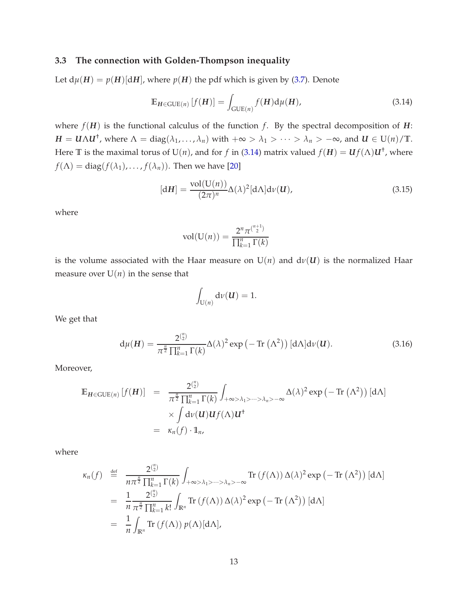#### <span id="page-14-0"></span>**3.3 The connection with Golden-Thompson inequality**

Let  $d\mu(H) = p(H)[dH]$ , where  $p(H)$  the pdf which is given by [\(3.7\)](#page-12-1). Denote

<span id="page-14-1"></span>
$$
\mathbb{E}_{H \in \text{GUE}(n)} \left[ f(H) \right] = \int_{\text{GUE}(n)} f(H) d\mu(H), \tag{3.14}
$$

where  $f(H)$  is the functional calculus of the function  $f$ . By the spectral decomposition of  $H$ :  $H = U \Lambda U^{\dagger}$ , where  $\Lambda = \text{diag}(\lambda_1, ..., \lambda_n)$  with  $+\infty > \lambda_1 > ... > \lambda_n > -\infty$ , and  $U \in U(n)/\mathbb{T}$ . Here  $\mathbb T$  is the maximal torus of  $\mathrm{U}(n)$ , and for  $f$  in [\(3.14\)](#page-14-1) matrix valued  $f(H) = \mathbf{U} f(\Lambda) \mathbf{U}^\dagger$ , where  $f(\Lambda) = \text{diag}(f(\lambda_1), \ldots, f(\lambda_n)).$  Then we have [\[20\]](#page-25-5)

$$
[dH] = \frac{\text{vol}(U(n))}{(2\pi)^n} \Delta(\lambda)^2 [d\Lambda] d\nu(\mathbf{U}),
$$
\n(3.15)

where

$$
vol(U(n)) = \frac{2^n \pi^{n+1}}{\prod_{k=1}^n \Gamma(k)}
$$

is the volume associated with the Haar measure on  $U(n)$  and  $d\nu(U)$  is the normalized Haar measure over  $U(n)$  in the sense that

$$
\int_{\mathrm{U}(n)} \mathrm{d} \nu(\boldsymbol{U}) = 1.
$$

We get that

$$
d\mu(H) = \frac{2^{\binom{n}{2}}}{\pi^{\frac{n}{2}} \prod_{k=1}^{n} \Gamma(k)} \Delta(\lambda)^2 \exp\left(-\operatorname{Tr}\left(\Lambda^2\right)\right) [\mathrm{d}\Lambda] \mathrm{d}\nu(\mathbf{U}).\tag{3.16}
$$

Moreover,

$$
\mathbb{E}_{H \in \text{GUE}(n)} [f(H)] = \frac{2^{\binom{n}{2}}}{\pi^{\frac{n}{2}} \prod_{k=1}^{n} \Gamma(k)} \int_{+\infty > \lambda_1 > \dots > \lambda_n > -\infty} \Delta(\lambda)^2 \exp(-\text{Tr}(\Lambda^2)) [\text{d}\Lambda]
$$
  
\$\times \int \text{d}\nu(\mathbf{U}) \mathbf{U} f(\Lambda) \mathbf{U}^{\dagger}\$  
= \$\kappa\_n(f) \cdot \mathbb{1}\_n\$,

$$
\kappa_n(f) \stackrel{\text{def}}{=} \frac{2^{\binom{n}{2}}}{n\pi^{\frac{n}{2}}\prod_{k=1}^n \Gamma(k)} \int_{+\infty>\lambda_1>\cdots>\lambda_n>-\infty} \text{Tr}\left(f(\Lambda)\right) \Delta(\lambda)^2 \exp\left(-\text{Tr}\left(\Lambda^2\right)\right) [\text{d}\Lambda]
$$
  
\n
$$
= \frac{1}{n} \frac{2^{\binom{n}{2}}}{\pi^{\frac{n}{2}}\prod_{k=1}^n k!} \int_{\mathbb{R}^n} \text{Tr}\left(f(\Lambda)\right) \Delta(\lambda)^2 \exp\left(-\text{Tr}\left(\Lambda^2\right)\right) [\text{d}\Lambda]
$$
  
\n
$$
= \frac{1}{n} \int_{\mathbb{R}^n} \text{Tr}\left(f(\Lambda)\right) p(\Lambda) [\text{d}\Lambda],
$$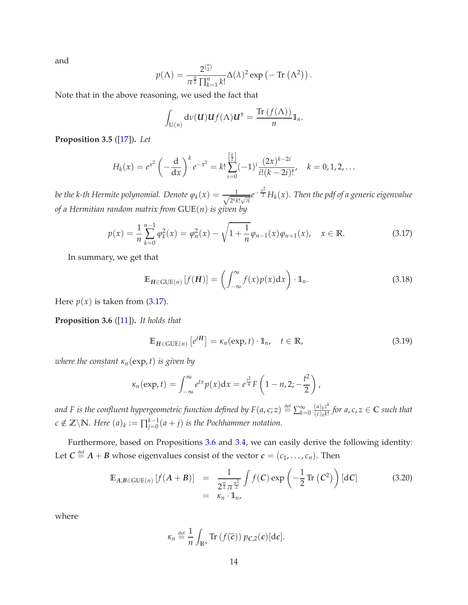and

$$
p(\Lambda) = \frac{2^{\binom{n}{2}}}{\pi^{\frac{n}{2}} \prod_{k=1}^{n} k!} \Delta(\lambda)^2 \exp(-\operatorname{Tr}(\Lambda^2)).
$$

Note that in the above reasoning, we used the fact that

$$
\int_{\mathrm{U}(n)} \mathrm{d}\nu(\mathbf{U}) \mathbf{U} f(\Lambda) \mathbf{U}^{\dagger} = \frac{\mathrm{Tr}\,(f(\Lambda))}{n} \mathbb{1}_n.
$$

**Proposition 3.5** ([\[17\]](#page-25-6))**.** *Let*

$$
H_k(x) = e^{x^2} \left(-\frac{d}{dx}\right)^k e^{-x^2} = k! \sum_{i=0}^{\left[\frac{k}{2}\right]} (-1)^i \frac{(2x)^{k-2i}}{i!(k-2i)!}, \quad k = 0, 1, 2, \ldots
$$

*be the k-th Hermite polynomial. Denote*  $\varphi_k(x) = \frac{1}{\sqrt{2^k k!}}$  $\frac{1}{2^k k! \sqrt{\pi}} e^{-\frac{x^2}{2}} H_k(x)$ . Then the pdf of a generic eigenvalue *of a Hermitian random matrix from* GUE(*n*) *is given by*

<span id="page-15-0"></span>
$$
p(x) = \frac{1}{n} \sum_{k=0}^{n-1} \varphi_k^2(x) = \varphi_n^2(x) - \sqrt{1 + \frac{1}{n} \varphi_{n-1}(x) \varphi_{n+1}(x)}, \quad x \in \mathbb{R}.
$$
 (3.17)

In summary, we get that

$$
\mathbb{E}_{\mathbf{H}\in\mathrm{GUE}(n)}\left[f(\mathbf{H})\right] = \left(\int_{-\infty}^{\infty} f(x)p(x)dx\right) \cdot \mathbb{1}_n. \tag{3.18}
$$

Here  $p(x)$  is taken from [\(3.17\)](#page-15-0).

<span id="page-15-1"></span>**Proposition 3.6** ([\[11\]](#page-24-7))**.** *It holds that*

$$
\mathbb{E}_{H \in \text{GUE}(n)} \left[ e^{tH} \right] = \kappa_n(\exp, t) \cdot \mathbb{1}_n, \quad t \in \mathbb{R}, \tag{3.19}
$$

*where the constant*  $\kappa_n(\exp,t)$  *is given by* 

$$
\kappa_n(\exp,t)=\int_{-\infty}^{\infty}e^{tx}p(x)\mathrm{d}x=e^{\frac{t^2}{4}}F\left(1-n,2;-\frac{t^2}{2}\right),
$$

and F is the confluent hypergeometric function defined by F(a, c; z)  $\stackrel{\text{def}}{=} \sum_{k=1}^\infty$  $k=0$   $\frac{(a)_k z^k}{(c)_k k!}$  $\frac{(a)_k z^k}{(c)_k k!}$  for a,  $c, z \in \mathbb{C}$  such that  $c \notin \mathbb{Z} \backslash \mathbb{N}$ *. Here*  $(a)_k := \prod_{j=0}^{k-1} (a+j)$  *is the Pochhammer notation.* 

Furthermore, based on Propositions [3.6](#page-15-1) and [3.4,](#page-13-0) we can easily derive the following identity: Let  $C \stackrel{\text{def}}{=} A + B$  whose eigenvalues consist of the vector  $c = (c_1, \ldots, c_n)$ . Then

$$
\mathbb{E}_{A,B \in \text{GUE}(n)} \left[ f(A+B) \right] = \frac{1}{2^{\frac{n}{2}} \pi^{\frac{n^2}{2}}} \int f(C) \exp \left( -\frac{1}{2} \text{Tr} \left( C^2 \right) \right) [dC] \tag{3.20}
$$
\n
$$
= \kappa_n \cdot \mathbb{1}_n,
$$

$$
\kappa_n \stackrel{\text{def}}{=} \frac{1}{n} \int_{\mathbb{R}^n} \text{Tr} \left( f(\widehat{c}) \right) p_{C,2}(c) [\text{d}c].
$$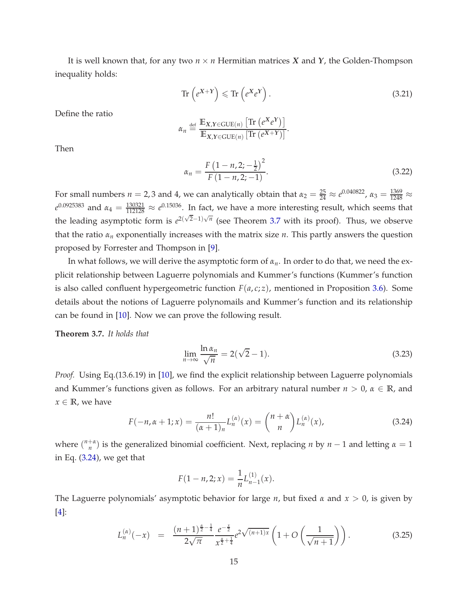It is well known that, for any two *<sup>n</sup>* <sup>×</sup> *<sup>n</sup>* Hermitian matrices *<sup>X</sup>* and *<sup>Y</sup>*, the Golden-Thompson inequality holds:

$$
\operatorname{Tr}\left(e^{X+Y}\right) \leqslant \operatorname{Tr}\left(e^{X}e^{Y}\right). \tag{3.21}
$$

Define the ratio

$$
\alpha_n \stackrel{\text{def}}{=} \frac{\mathbb{E}_{X,Y \in \text{GUE}(n)} \left[ \text{Tr} \left( e^X e^Y \right) \right]}{\mathbb{E}_{X,Y \in \text{GUE}(n)} \left[ \text{Tr} \left( e^{X+Y} \right) \right]}.
$$

Then

$$
\alpha_n = \frac{F\left(1 - n, 2; -\frac{1}{2}\right)^2}{F\left(1 - n, 2; -1\right)}.\tag{3.22}
$$

For small numbers  $n = 2, 3$  and 4, we can analytically obtain that  $\alpha_2 = \frac{25}{24} \approx e^{0.040822}$ ,  $\alpha_3 = \frac{1369}{1248} \approx$  $e^{0.0925383}$  and  $\alpha_4 = \frac{130321}{112128} \approx e^{0.15036}$ . In fact, we have a more interesting result, which seems that the leading asymptotic form is  $e^{2(\sqrt{2}-1)\sqrt{n}}$  (see Theorem [3.7](#page-16-0) with its proof). Thus, we observe that the ratio *α<sup>n</sup>* exponentially increases with the matrix size *n*. This partly answers the question proposed by Forrester and Thompson in [\[9\]](#page-24-5).

In what follows, we will derive the asymptotic form of *αn*. In order to do that, we need the explicit relationship between Laguerre polynomials and Kummer's functions (Kummer's function is also called confluent hypergeometric function  $F(a, c; z)$ , mentioned in Proposition [3.6\)](#page-15-1). Some details about the notions of Laguerre polynomails and Kummer's function and its relationship can be found in [\[10\]](#page-24-8). Now we can prove the following result.

<span id="page-16-0"></span>**Theorem 3.7.** *It holds that*

$$
\lim_{n \to \infty} \frac{\ln \alpha_n}{\sqrt{n}} = 2(\sqrt{2} - 1). \tag{3.23}
$$

*Proof.* Using Eq.(13.6.19) in [\[10\]](#page-24-8), we find the explicit relationship between Laguerre polynomials and Kummer's functions given as follows. For an arbitrary natural number  $n > 0$ ,  $\alpha \in \mathbb{R}$ , and  $x \in \mathbb{R}$ , we have

<span id="page-16-1"></span>
$$
F(-n, \alpha + 1; x) = \frac{n!}{(\alpha + 1)_n} L_n^{(\alpha)}(x) = {n + \alpha \choose n} L_n^{(\alpha)}(x),
$$
\n(3.24)

where  $\binom{n+\alpha}{n}$  $\binom{n}{n}$  is the generalized binomial coefficient. Next, replacing *n* by *n* − 1 and letting *α* = 1 in Eq. [\(3.24\)](#page-16-1), we get that

$$
F(1-n,2;x) = \frac{1}{n}L_{n-1}^{(1)}(x).
$$

The Laguerre polynomials' asymptotic behavior for large *n*, but fixed *α* and *x* > 0, is given by [\[4\]](#page-24-9):

<span id="page-16-2"></span>
$$
L_n^{(\alpha)}(-x) = \frac{(n+1)^{\frac{\alpha}{2}-\frac{1}{4}}}{2\sqrt{\pi}} \frac{e^{-\frac{x}{2}}}{x^{\frac{\alpha}{2}+\frac{1}{4}}} e^{2\sqrt{(n+1)x}} \left(1 + O\left(\frac{1}{\sqrt{n+1}}\right)\right). \tag{3.25}
$$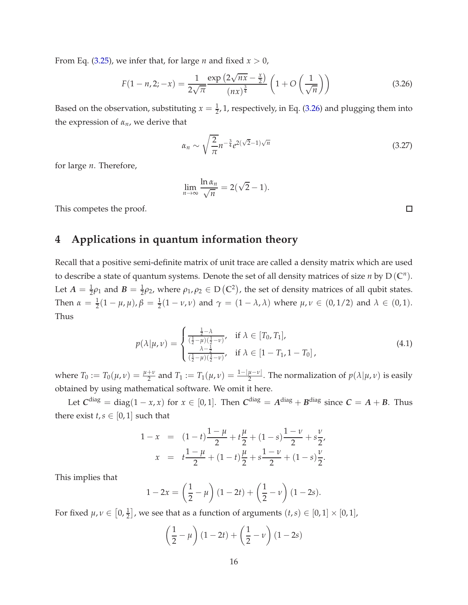From Eq. [\(3.25\)](#page-16-2), we infer that, for large *n* and fixed  $x > 0$ ,

<span id="page-17-1"></span>
$$
F(1 - n, 2; -x) = \frac{1}{2\sqrt{\pi}} \frac{\exp\left(2\sqrt{n}x - \frac{x}{2}\right)}{(nx)^{\frac{3}{4}}} \left(1 + O\left(\frac{1}{\sqrt{n}}\right)\right)
$$
(3.26)

Based on the observation, substituting  $x = \frac{1}{2}$ , 1, respectively, in Eq. [\(3.26\)](#page-17-1) and plugging them into the expression of *αn*, we derive that

$$
\alpha_n \sim \sqrt{\frac{2}{\pi}} n^{-\frac{3}{4}} e^{2(\sqrt{2}-1)\sqrt{n}} \tag{3.27}
$$

for large *n*. Therefore,

$$
\lim_{n\to\infty}\frac{\ln\alpha_n}{\sqrt{n}}=2(\sqrt{2}-1).
$$

<span id="page-17-0"></span>This competes the proof.

# **4 Applications in quantum information theory**

Recall that a positive semi-definite matrix of unit trace are called a density matrix which are used to describe a state of quantum systems. Denote the set of all density matrices of size *n* by  $D(C^n)$ . Let  $A = \frac{1}{2}\rho_1$  and  $B = \frac{1}{2}\rho_2$ , where  $\rho_1, \rho_2 \in D(\mathbb{C}^2)$ , the set of density matrices of all qubit states. Then  $\alpha = \frac{1}{2}(1 - \mu, \mu), \beta = \frac{1}{2}(1 - \nu, \nu)$  and  $\gamma = (1 - \lambda, \lambda)$  where  $\mu, \nu \in (0, 1/2)$  and  $\lambda \in (0, 1)$ . Thus

$$
p(\lambda|\mu,\nu) = \begin{cases} \frac{\frac{1}{2}-\lambda}{(\frac{1}{2}-\mu)(\frac{1}{2}-\nu)}, & \text{if } \lambda \in [T_0, T_1],\\ \frac{\lambda-\frac{1}{2}}{(\frac{1}{2}-\mu)(\frac{1}{2}-\nu)}, & \text{if } \lambda \in [1-T_1, 1-T_0], \end{cases}
$$
(4.1)

where  $T_0 := T_0(\mu, \nu) = \frac{\mu + \nu}{2}$  and  $T_1 := T_1(\mu, \nu) = \frac{1 - |\mu - \nu|}{2}$ . The normalization of  $p(\lambda | \mu, \nu)$  is easily obtained by using mathematical software. We omit it here.

Let  $C^{\text{diag}} = \text{diag}(1-x, x)$  for  $x \in [0, 1]$ . Then  $C^{\text{diag}} = A^{\text{diag}} + B^{\text{diag}}$  since  $C = A + B$ . Thus there exist  $t, s \in [0, 1]$  such that

$$
1 - x = (1 - t)\frac{1 - \mu}{2} + t\frac{\mu}{2} + (1 - s)\frac{1 - \nu}{2} + s\frac{\nu}{2},
$$
  

$$
x = t\frac{1 - \mu}{2} + (1 - t)\frac{\mu}{2} + s\frac{1 - \nu}{2} + (1 - s)\frac{\nu}{2}.
$$

This implies that

$$
1 - 2x = \left(\frac{1}{2} - \mu\right)(1 - 2t) + \left(\frac{1}{2} - \nu\right)(1 - 2s).
$$

For fixed  $\mu, \nu \in [0, \frac{1}{2}]$ , we see that as a function of arguments  $(t, s) \in [0, 1] \times [0, 1]$ ,

$$
\left(\frac{1}{2} - \mu\right)(1 - 2t) + \left(\frac{1}{2} - \nu\right)(1 - 2s)
$$

 $\Box$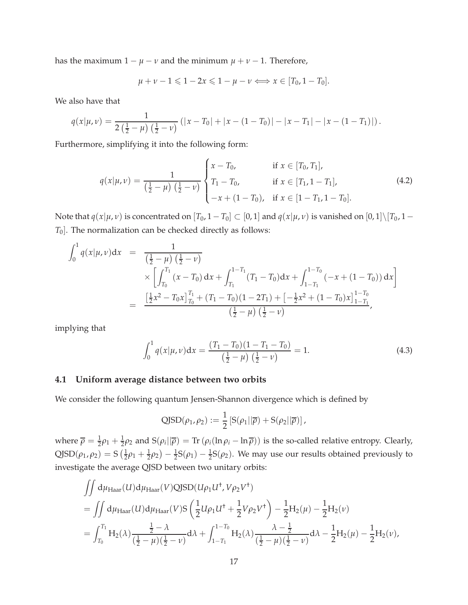has the maximum  $1 - \mu - \nu$  and the minimum  $\mu + \nu - 1$ . Therefore,

$$
\mu+\nu-1\leqslant 1-2x\leqslant 1-\mu-\nu\Longleftrightarrow x\in[T_0,1-T_0].
$$

We also have that

$$
q(x|\mu,\nu)=\frac{1}{2(\frac{1}{2}-\mu)(\frac{1}{2}-\nu)}\left(|x-T_0|+|x-(1-T_0)|-|x-T_1|-|x-(1-T_1)|\right).
$$

Furthermore, simplifying it into the following form:

$$
q(x|\mu,\nu) = \frac{1}{(\frac{1}{2}-\mu)(\frac{1}{2}-\nu)} \begin{cases} x - T_0, & \text{if } x \in [T_0, T_1], \\ T_1 - T_0, & \text{if } x \in [T_1, 1 - T_1], \\ -x + (1 - T_0), & \text{if } x \in [1 - T_1, 1 - T_0]. \end{cases}
$$
(4.2)

Note that  $q(x|\mu, \nu)$  is concentrated on  $[T_0, 1-T_0] \subset [0, 1]$  and  $q(x|\mu, \nu)$  is vanished on  $[0, 1] \setminus [T_0, 1-\nu]$ *T*0]. The normalization can be checked directly as follows:

$$
\int_0^1 q(x|\mu, \nu) dx = \frac{1}{(\frac{1}{2} - \mu)(\frac{1}{2} - \nu)}
$$
\n
$$
\times \left[ \int_{T_0}^{T_1} (x - T_0) dx + \int_{T_1}^{1 - T_1} (T_1 - T_0) dx + \int_{1 - T_1}^{1 - T_0} (-x + (1 - T_0)) dx \right]
$$
\n
$$
= \frac{[\frac{1}{2}x^2 - T_0x]_{T_0}^{T_1} + (T_1 - T_0)(1 - 2T_1) + [-\frac{1}{2}x^2 + (1 - T_0)x]_{1 - T_1}^{1 - T_0}}{(\frac{1}{2} - \mu)(\frac{1}{2} - \nu)},
$$

implying that

$$
\int_0^1 q(x|\mu, \nu) dx = \frac{(T_1 - T_0)(1 - T_1 - T_0)}{\left(\frac{1}{2} - \mu\right)\left(\frac{1}{2} - \nu\right)} = 1.
$$
\n(4.3)

#### **4.1 Uniform average distance between two orbits**

We consider the following quantum Jensen-Shannon divergence which is defined by

$$
\text{QJSD}(\rho_1, \rho_2) := \frac{1}{2} \left[ S(\rho_1 || \overline{\rho}) + S(\rho_2 || \overline{\rho}) \right],
$$

where  $\overline{\rho} = \frac{1}{2}\rho_1 + \frac{1}{2}\rho_2$  and  $S(\rho_i||\overline{\rho}) = \text{Tr}(\rho_i(\ln \rho_i - \ln \overline{\rho}))$  is the so-called relative entropy. Clearly,  $QJSD(\rho_1, \rho_2) = S(\frac{1}{2})$  $\frac{1}{2}\rho_1 + \frac{1}{2}\rho_2$ ) –  $\frac{1}{2}S(\rho_1)$  –  $\frac{1}{2}S(\rho_2)$ . We may use our results obtained previously to investigate the average QJSD between two unitary orbits:

$$
\begin{split} &\iint \mathrm{d}\mu_{\text{Haar}}(U) \mathrm{d}\mu_{\text{Haar}}(V) \mathrm{QJSD}(U\rho_1 U^{\dagger}, V\rho_2 V^{\dagger}) \\ &= \iint \mathrm{d}\mu_{\text{Haar}}(U) \mathrm{d}\mu_{\text{Haar}}(V) \mathrm{S}\left(\frac{1}{2}U\rho_1 U^{\dagger} + \frac{1}{2}V\rho_2 V^{\dagger}\right) - \frac{1}{2}H_2(\mu) - \frac{1}{2}H_2(\nu) \\ &= \int_{T_0}^{T_1} H_2(\lambda) \frac{\frac{1}{2} - \lambda}{(\frac{1}{2} - \mu)(\frac{1}{2} - \nu)} \mathrm{d}\lambda + \int_{1 - T_1}^{1 - T_0} H_2(\lambda) \frac{\lambda - \frac{1}{2}}{(\frac{1}{2} - \mu)(\frac{1}{2} - \nu)} \mathrm{d}\lambda - \frac{1}{2}H_2(\mu) - \frac{1}{2}H_2(\nu), \end{split}
$$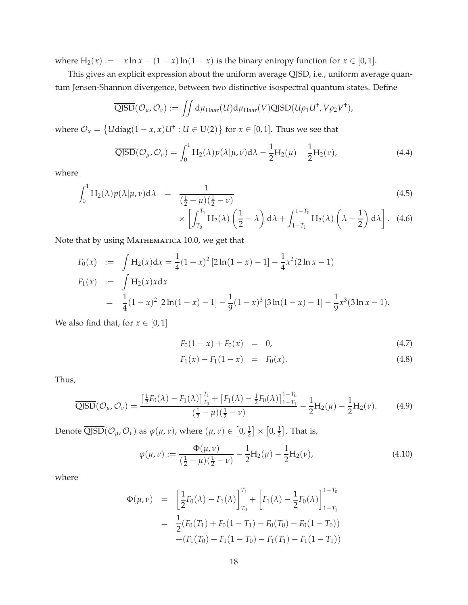where  $H_2(x) := -x \ln x - (1 - x) \ln(1 - x)$  is the binary entropy function for  $x \in [0, 1]$ .

This gives an explicit expression about the uniform average QJSD, i.e., uniform average quantum Jensen-Shannon divergence, between two distinctive isospectral quantum states. Define

$$
\overline{\text{QJSD}}(\mathcal{O}_{\mu}, \mathcal{O}_{\nu}) := \iint d\mu_{\text{Haar}}(U) d\mu_{\text{Haar}}(V) \text{QJSD}(U\rho_1 U^{\dagger}, V\rho_2 V^{\dagger}),
$$

where  $\mathcal{O}_x = \{U \text{diag}(1-x, x)U^+ : U \in U(2)\}$  for  $x \in [0, 1]$ . Thus we see that

$$
\overline{\text{QJSD}}(\mathcal{O}_{\mu}, \mathcal{O}_{\nu}) = \int_0^1 H_2(\lambda) p(\lambda | \mu, \nu) d\lambda - \frac{1}{2} H_2(\mu) - \frac{1}{2} H_2(\nu), \tag{4.4}
$$

where

$$
\int_0^1 H_2(\lambda) p(\lambda | \mu, \nu) d\lambda = \frac{1}{(\frac{1}{2} - \mu)(\frac{1}{2} - \nu)} \times \left[ \int_{T_0}^{T_1} H_2(\lambda) \left( \frac{1}{2} - \lambda \right) d\lambda + \int_{1 - T_1}^{1 - T_0} H_2(\lambda) \left( \lambda - \frac{1}{2} \right) d\lambda \right].
$$
\n(4.6)

Note that by using MATHEMATICA 10.0, we get that

$$
F_0(x) := \int H_2(x) dx = \frac{1}{4} (1 - x)^2 [2 \ln(1 - x) - 1] - \frac{1}{4} x^2 (2 \ln x - 1)
$$
  
\n
$$
F_1(x) := \int H_2(x) x dx
$$
  
\n
$$
= \frac{1}{4} (1 - x)^2 [2 \ln(1 - x) - 1] - \frac{1}{9} (1 - x)^3 [3 \ln(1 - x) - 1] - \frac{1}{9} x^3 (3 \ln x - 1).
$$

We also find that, for  $x \in [0,1]$ 

<span id="page-19-0"></span>
$$
F_0(1-x) + F_0(x) = 0,
$$
\n(4.7)

$$
F_1(x) - F_1(1 - x) = F_0(x). \tag{4.8}
$$

Thus,

$$
\overline{\text{QJSD}}(\mathcal{O}_{\mu}, \mathcal{O}_{\nu}) = \frac{\left[\frac{1}{2}F_0(\lambda) - F_1(\lambda)\right]_{T_0}^{T_1} + \left[F_1(\lambda) - \frac{1}{2}F_0(\lambda)\right]_{1 - T_1}^{1 - T_0}}{\left(\frac{1}{2} - \mu\right)\left(\frac{1}{2} - \nu\right)} - \frac{1}{2}H_2(\mu) - \frac{1}{2}H_2(\nu). \tag{4.9}
$$

Denote  $\overline{\text{QJSD}}(\mathcal{O}_\mu, \mathcal{O}_\nu)$  as  $\varphi(\mu, \nu)$ , where  $(\mu, \nu) \in \left[0, \frac{1}{2}\right] \times \left[0, \frac{1}{2}\right]$ . That is,

$$
\varphi(\mu,\nu) := \frac{\Phi(\mu,\nu)}{\left(\frac{1}{2} - \mu\right)\left(\frac{1}{2} - \nu\right)} - \frac{1}{2}H_2(\mu) - \frac{1}{2}H_2(\nu),\tag{4.10}
$$

$$
\Phi(\mu, \nu) = \left[\frac{1}{2}F_0(\lambda) - F_1(\lambda)\right]_{T_0}^{T_1} + \left[F_1(\lambda) - \frac{1}{2}F_0(\lambda)\right]_{1 - T_1}^{1 - T_0}
$$
  

$$
= \frac{1}{2}(F_0(T_1) + F_0(1 - T_1) - F_0(T_0) - F_0(1 - T_0))
$$

$$
+ (F_1(T_0) + F_1(1 - T_0) - F_1(T_1) - F_1(1 - T_1))
$$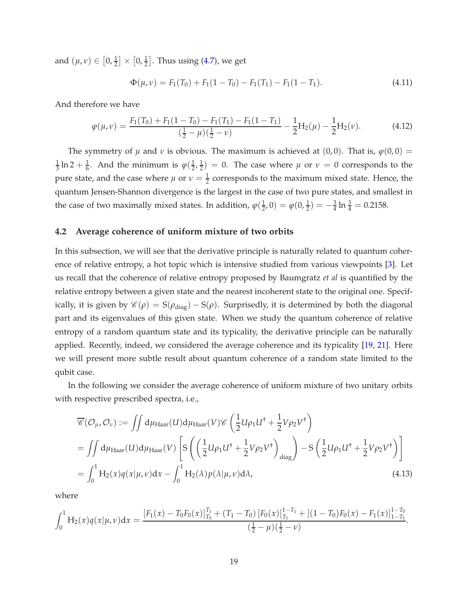and  $(\mu, \nu) \in \left[0, \frac{1}{2}\right] \times \left[0, \frac{1}{2}\right]$ . Thus using [\(4.7\)](#page-19-0), we get

<span id="page-20-0"></span>
$$
\Phi(\mu,\nu) = F_1(T_0) + F_1(1 - T_0) - F_1(T_1) - F_1(1 - T_1). \tag{4.11}
$$

And therefore we have

$$
\varphi(\mu,\nu) = \frac{F_1(T_0) + F_1(1 - T_0) - F_1(T_1) - F_1(1 - T_1)}{(\frac{1}{2} - \mu)(\frac{1}{2} - \nu)} - \frac{1}{2}H_2(\mu) - \frac{1}{2}H_2(\nu).
$$
 (4.12)

The symmetry of  $\mu$  and  $\nu$  is obvious. The maximum is achieved at (0,0). That is,  $\varphi(0,0)$  = 1  $\frac{1}{3} \ln 2 + \frac{1}{6}$ . And the minimum is  $\varphi(\frac{1}{2})$  $\frac{1}{2}$ ,  $\frac{1}{2}$  $\frac{1}{2}$ ) = 0. The case where  $\mu$  or  $\nu = 0$  corresponds to the pure state, and the case where  $\mu$  or  $\nu = \frac{1}{2}$  corresponds to the maximum mixed state. Hence, the quantum Jensen-Shannon divergence is the largest in the case of two pure states, and smallest in the case of two maximally mixed states. In addition,  $\varphi(\frac{1}{2})$  $(\frac{1}{2}, 0) = \varphi(0, \frac{1}{2}) = -\frac{3}{4} \ln \frac{3}{4} = 0.2158.$ 

#### **4.2 Average coherence of uniform mixture of two orbits**

In this subsection, we will see that the derivative principle is naturally related to quantum coherence of relative entropy, a hot topic which is intensive studied from various viewpoints [\[3\]](#page-24-10). Let us recall that the coherence of relative entropy proposed by Baumgratz *et al* is quantified by the relative entropy between a given state and the nearest incoherent state to the original one. Specifically, it is given by  $\mathcal{C}(\rho) = S(\rho_{\text{diag}}) - S(\rho)$ . Surprisedly, it is determined by both the diagonal part and its eigenvalues of this given state. When we study the quantum coherence of relative entropy of a random quantum state and its typicality, the derivative principle can be naturally applied. Recently, indeed, we considered the average coherence and its typicality [\[19,](#page-25-7) [21\]](#page-25-8). Here we will present more subtle result about quantum coherence of a random state limited to the qubit case.

In the following we consider the average coherence of uniform mixture of two unitary orbits with respective prescribed spectra, i.e.,

<span id="page-20-1"></span>
$$
\overline{\mathcal{C}}(\mathcal{O}_{\mu}, \mathcal{O}_{\nu}) := \iint d\mu_{\text{Haar}}(U) d\mu_{\text{Haar}}(V) \mathcal{C} \left( \frac{1}{2} U \rho_1 U^{\dagger} + \frac{1}{2} V \rho_2 V^{\dagger} \right)
$$
  
\n
$$
= \iint d\mu_{\text{Haar}}(U) d\mu_{\text{Haar}}(V) \left[ S \left( \left( \frac{1}{2} U \rho_1 U^{\dagger} + \frac{1}{2} V \rho_2 V^{\dagger} \right)_{\text{diag}} \right) - S \left( \frac{1}{2} U \rho_1 U^{\dagger} + \frac{1}{2} V \rho_2 V^{\dagger} \right) \right]
$$
  
\n
$$
= \int_0^1 H_2(x) q(x | \mu, \nu) dx - \int_0^1 H_2(\lambda) p(\lambda | \mu, \nu) d\lambda,
$$
 (4.13)

$$
\int_0^1 \mathrm{H}_2(x) q(x|\mu, \nu) dx = \frac{\left[F_1(x) - T_0 F_0(x)\right]_{T_0}^{T_1} + \left(T_1 - T_0\right) \left[F_0(x)\right]_{T_1}^{1 - T_1} + \left[(1 - T_0) F_0(x) - F_1(x)\right]_{1 - T_1}^{1 - T_0}}{\left(\frac{1}{2} - \mu\right)\left(\frac{1}{2} - \nu\right)}.
$$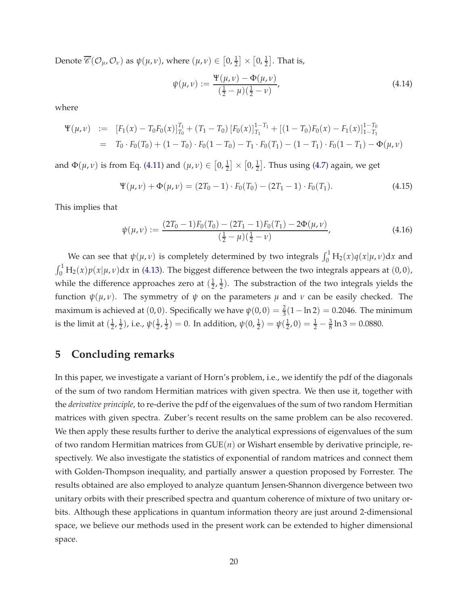Denote  $\overline{\mathscr{C}}(\mathcal{O}_\mu,\mathcal{O}_\nu)$  as  $\psi(\mu,\nu)$ , where  $(\mu,\nu)\in\left[0,\frac{1}{2}\right]\times\left[0,\frac{1}{2}\right]$ . That is,

$$
\psi(\mu,\nu) := \frac{\Psi(\mu,\nu) - \Phi(\mu,\nu)}{\left(\frac{1}{2} - \mu\right)\left(\frac{1}{2} - \nu\right)},\tag{4.14}
$$

where

$$
\Psi(\mu,\nu) := [F_1(x) - T_0F_0(x)]_{T_0}^{T_1} + (T_1 - T_0) [F_0(x)]_{T_1}^{T_1} + [(1 - T_0)F_0(x) - F_1(x)]_{1 - T_1}^{1 - T_0}
$$
  
=  $T_0 \cdot F_0(T_0) + (1 - T_0) \cdot F_0(1 - T_0) - T_1 \cdot F_0(T_1) - (1 - T_1) \cdot F_0(1 - T_1) - \Phi(\mu,\nu)$ 

and  $\Phi(\mu, \nu)$  is from Eq. [\(4.11\)](#page-20-0) and  $(\mu, \nu) \in [0, \frac{1}{2}] \times [0, \frac{1}{2}]$ . Thus using [\(4.7\)](#page-19-0) again, we get

$$
\Psi(\mu,\nu) + \Phi(\mu,\nu) = (2T_0 - 1) \cdot F_0(T_0) - (2T_1 - 1) \cdot F_0(T_1). \tag{4.15}
$$

This implies that

$$
\psi(\mu,\nu) := \frac{(2T_0 - 1)F_0(T_0) - (2T_1 - 1)F_0(T_1) - 2\Phi(\mu,\nu)}{(\frac{1}{2} - \mu)(\frac{1}{2} - \nu)},
$$
\n(4.16)

We can see that  $\psi(\mu, \nu)$  is completely determined by two integrals  $\int_0^1 H_2(x) q(x|\mu, \nu) dx$  and  $\int_0^1 H_2(x) p(x|\mu, \nu) dx$  in [\(4.13\)](#page-20-1). The biggest difference between the two integrals appears at (0,0), while the difference approaches zero at  $(\frac{1}{2})$  $\frac{1}{2}$ ,  $\frac{1}{2}$  $\frac{1}{2}$ ). The substraction of the two integrals yields the function  $ψ(μ, ν)$ . The symmetry of  $ψ$  on the parameters  $μ$  and  $ν$  can be easily checked. The maximum is achieved at  $(0,0)$ . Specifically we have  $\psi(0,0) = \frac{2}{3}(1 - \ln 2) = 0.2046$ . The minimum is the limit at  $(\frac{1}{2})$  $\frac{1}{2}$ ,  $\frac{1}{2}$  $\frac{1}{2}$ ), i.e.,  $\psi(\frac{1}{2})$  $\frac{1}{2}$ ,  $\frac{1}{2}$  $\frac{1}{2}) = 0$ . In addition,  $\psi(0, \frac{1}{2}) = \psi(\frac{1}{2})$  $(\frac{1}{2}, 0) = \frac{1}{2} - \frac{3}{8} \ln 3 = 0.0880.$ 

# <span id="page-21-0"></span>**5 Concluding remarks**

In this paper, we investigate a variant of Horn's problem, i.e., we identify the pdf of the diagonals of the sum of two random Hermitian matrices with given spectra. We then use it, together with the *derivative principle*, to re-derive the pdf of the eigenvalues of the sum of two random Hermitian matrices with given spectra. Zuber's recent results on the same problem can be also recovered. We then apply these results further to derive the analytical expressions of eigenvalues of the sum of two random Hermitian matrices from GUE(*n*) or Wishart ensemble by derivative principle, respectively. We also investigate the statistics of exponential of random matrices and connect them with Golden-Thompson inequality, and partially answer a question proposed by Forrester. The results obtained are also employed to analyze quantum Jensen-Shannon divergence between two unitary orbits with their prescribed spectra and quantum coherence of mixture of two unitary orbits. Although these applications in quantum information theory are just around 2-dimensional space, we believe our methods used in the present work can be extended to higher dimensional space.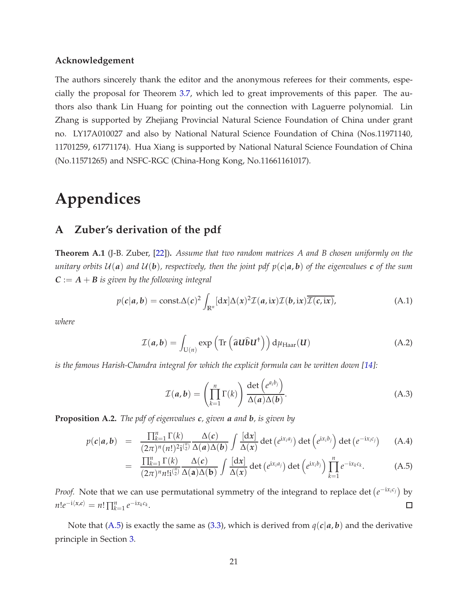#### **Acknowledgement**

The authors sincerely thank the editor and the anonymous referees for their comments, especially the proposal for Theorem [3.7,](#page-16-0) which led to great improvements of this paper. The authors also thank Lin Huang for pointing out the connection with Laguerre polynomial. Lin Zhang is supported by Zhejiang Provincial Natural Science Foundation of China under grant no. LY17A010027 and also by National Natural Science Foundation of China (Nos.11971140, 11701259, 61771174). Hua Xiang is supported by National Natural Science Foundation of China (No.11571265) and NSFC-RGC (China-Hong Kong, No.11661161017).

# <span id="page-22-0"></span>**Appendices**

### **A Zuber's derivation of the pdf**

<span id="page-22-2"></span>**Theorem A.1** (J-B. Zuber, [\[22\]](#page-25-2))**.** *Assume that two random matrices A and B chosen uniformly on the unitary orbits*  $U(a)$  *and*  $U(b)$ *, respectively, then the joint pdf*  $p(c|a, b)$  *of the eigenvalues c of the sum*  $C := A + B$  *is given by the following integral* 

$$
p(c|a,b) = \text{const.}\Delta(c)^2 \int_{\mathbb{R}^n} [dx] \Delta(x)^2 \mathcal{I}(a,i\mathbf{x}) \mathcal{I}(b,i\mathbf{x}) \overline{\mathcal{I}(c,i\mathbf{x})}, \tag{A.1}
$$

*where*

$$
\mathcal{I}(a,b) = \int_{\mathbf{U}(n)} \exp\left(\text{Tr}\left(\hat{a}\mathbf{U}\hat{b}\mathbf{U}^{\dagger}\right)\right) d\mu_{\text{Haar}}(\mathbf{U}) \tag{A.2}
$$

*is the famous Harish-Chandra integral for which the explicit formula can be written down [\[14\]](#page-25-9):*

$$
\mathcal{I}(a,b) = \left(\prod_{k=1}^{n} \Gamma(k)\right) \frac{\det\left(e^{a_i b_j}\right)}{\Delta(a)\Delta(b)}.
$$
\n(A.3)

**Proposition A.2.** *The pdf of eigenvalues c, given a and b, is given by*

<span id="page-22-1"></span>
$$
p(c|a,b) = \frac{\prod_{k=1}^{n} \Gamma(k)}{(2\pi)^{n}(n!)^{2}i^{n/2}} \frac{\Delta(c)}{\Delta(a)\Delta(b)} \int \frac{[dx]}{\Delta(x)} \det(e^{ix_{i}a_{j}}) \det(e^{ix_{i}b_{j}}) \det(e^{-ix_{i}c_{j}})
$$
 (A.4)

$$
= \frac{\prod_{k=1}^{n} \Gamma(k)}{(2\pi)^n n! i^{(\frac{n}{2})}} \frac{\Delta(c)}{\Delta(a)\Delta(b)} \int \frac{[dx]}{\Delta(x)} \det(e^{ix_i a_j}) \det(e^{ix_i b_j}) \prod_{k=1}^{n} e^{-ix_k c_k}.
$$
 (A.5)

*Proof.* Note that we can use permutational symmetry of the integrand to replace det  $(e^{-ix_ic_j})$  by  $n!e^{-i\langle x,c\rangle} = n! \prod_{k=1}^{n} e^{-ix_kc_k}$ .  $\Box$ 

Note that [\(A.5\)](#page-22-1) is exactly the same as [\(3.3\)](#page-11-1), which is derived from  $q(c|a, b)$  and the derivative principle in Section [3.](#page-10-0)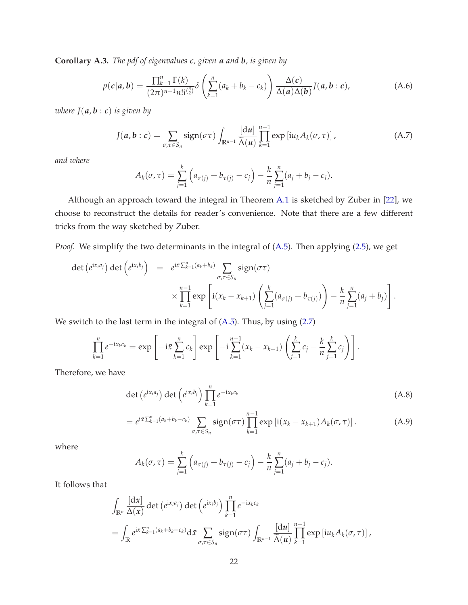**Corollary A.3.** *The pdf of eigenvalues c, given a and b, is given by*

$$
p(c|a,b) = \frac{\prod_{k=1}^{n} \Gamma(k)}{(2\pi)^{n-1} n! i^{n/2}} \delta\left(\sum_{k=1}^{n} (a_k + b_k - c_k)\right) \frac{\Delta(c)}{\Delta(a)\Delta(b)} J(a,b:c), \tag{A.6}
$$

*where*  $J(a, b : c)$  *is given by* 

$$
J(a,b:c) = \sum_{\sigma,\tau \in S_n} sign(\sigma \tau) \int_{\mathbb{R}^{n-1}} \frac{[du]}{\widetilde{\Delta}(u)} \prod_{k=1}^{n-1} exp[iu_k A_k(\sigma,\tau)], \qquad (A.7)
$$

*and where*

$$
A_k(\sigma, \tau) = \sum_{j=1}^k \left( a_{\sigma(j)} + b_{\tau(j)} - c_j \right) - \frac{k}{n} \sum_{j=1}^n (a_j + b_j - c_j).
$$

Although an approach toward the integral in Theorem [A.1](#page-22-2) is sketched by Zuber in [\[22\]](#page-25-2), we choose to reconstruct the details for reader's convenience. Note that there are a few different tricks from the way sketched by Zuber.

*Proof.* We simplify the two determinants in the integral of [\(A.5\)](#page-22-1). Then applying [\(2.5\)](#page-6-1), we get

$$
\det (e^{ix_i a_j}) \det (e^{ix_i b_j}) = e^{i\bar{x} \sum_{k=1}^n (a_k + b_k)} \sum_{\sigma, \tau \in S_n} sign(\sigma \tau)
$$
  
 
$$
\times \prod_{k=1}^{n-1} exp \left[ i(x_k - x_{k+1}) \left( \sum_{j=1}^k (a_{\sigma(j)} + b_{\tau(j)}) \right) - \frac{k}{n} \sum_{j=1}^n (a_j + b_j) \right].
$$

We switch to the last term in the integral of [\(A.5\)](#page-22-1). Thus, by using [\(2.7\)](#page-7-4)

*σ*,*τ*∈*S<sup>n</sup>*

$$
\prod_{k=1}^{n} e^{-ix_kc_k} = \exp\left[-i\bar{x}\sum_{k=1}^{n} c_k\right] \exp\left[-i\sum_{k=1}^{n-1} (x_k - x_{k+1})\left(\sum_{j=1}^{k} c_j - \frac{k}{n}\sum_{j=1}^{k} c_j\right)\right].
$$

Therefore, we have

$$
\det\left(e^{ix_i a_j}\right) \det\left(e^{ix_i b_j}\right) \prod_{k=1}^n e^{-ix_k c_k}
$$
\n
$$
= e^{i\bar{x}\sum_{k=1}^n (a_k + b_k - c_k)} \sum_{\sigma,\tau \in S_n} sign(\sigma \tau) \prod_{k=1}^{n-1} exp\left[i(x_k - x_{k+1}) A_k(\sigma, \tau)\right].
$$
\n(A.9)

where

$$
A_k(\sigma, \tau) = \sum_{j=1}^k \left( a_{\sigma(j)} + b_{\tau(j)} - c_j \right) - \frac{k}{n} \sum_{j=1}^n (a_j + b_j - c_j).
$$

It follows that

$$
\int_{\mathbb{R}^n} \frac{[dx]}{\Delta(x)} \det (e^{ix_i a_j}) \det (e^{ix_i b_j}) \prod_{k=1}^n e^{-ix_k c_k}
$$
\n
$$
= \int_{\mathbb{R}} e^{i\bar{x} \sum_{k=1}^n (a_k + b_k - c_k)} d\bar{x} \sum_{\sigma, \tau \in S_n} sign(\sigma \tau) \int_{\mathbb{R}^{n-1}} \frac{[du]}{\tilde{\Delta}(u)} \prod_{k=1}^{n-1} exp [iu_k A_k(\sigma, \tau)],
$$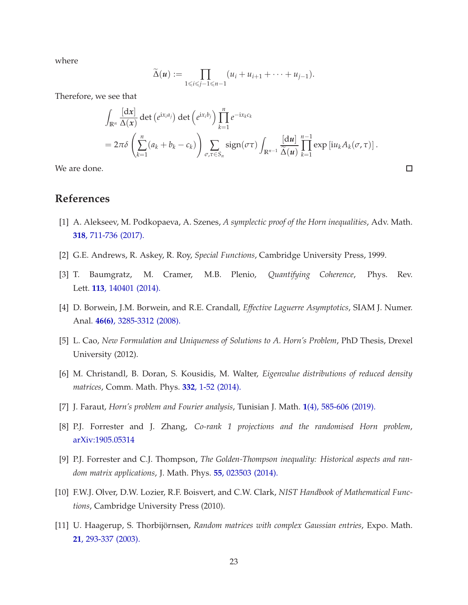where

$$
\widetilde{\Delta}(u) := \prod_{1 \leq i \leq j-1 \leq n-1} (u_i + u_{i+1} + \cdots + u_{j-1}).
$$

Therefore, we see that

$$
\int_{\mathbb{R}^n} \frac{[dx]}{\Delta(x)} \det (e^{ix_i a_j}) \det (e^{ix_i b_j}) \prod_{k=1}^n e^{-ix_k c_k}
$$
\n
$$
= 2\pi \delta \left( \sum_{k=1}^n (a_k + b_k - c_k) \right) \sum_{\sigma, \tau \in S_n} sign(\sigma \tau) \int_{\mathbb{R}^{n-1}} \frac{[du]}{\widetilde{\Delta}(u)} \prod_{k=1}^{n-1} exp [iu_k A_k(\sigma, \tau)].
$$

 $\Box$ 

We are done.

### <span id="page-24-1"></span>**References**

- <span id="page-24-6"></span>[1] A. Alekseev, M. Podkopaeva, A. Szenes, *A symplectic proof of the Horn inequalities*, Adv. Math. **318**[, 711-736 \(2017\).](https://doi.org/10.1016/j.aim.2017.01.006)
- <span id="page-24-10"></span>[2] G.E. Andrews, R. Askey, R. Roy, *Special Functions*, Cambridge University Press, 1999.
- <span id="page-24-9"></span>[3] T. Baumgratz, M. Cramer, M.B. Plenio, *Quantifying Coherence*, Phys. Rev. Lett. **113**[, 140401 \(2014\).](https://doi.org/10.1103/PhysRevLett.113.140401)
- <span id="page-24-0"></span>[4] D. Borwein, J.M. Borwein, and R.E. Crandall, *Effective Laguerre Asymptotics*, SIAM J. Numer. Anal. **46(6)**[, 3285-3312 \(2008\).](https://doi.org/10.1137/07068031X)
- <span id="page-24-4"></span>[5] L. Cao, *New Formulation and Uniqueness of Solutions to A. Horn's Problem*, PhD Thesis, Drexel University (2012).
- <span id="page-24-2"></span>[6] M. Christandl, B. Doran, S. Kousidis, M. Walter, *Eigenvalue distributions of reduced density matrices*, Comm. Math. Phys. **332**[, 1-52 \(2014\).](http://dx.doi.org/10.1007/s00220-014-2144-4)
- <span id="page-24-3"></span>[7] J. Faraut, *Horn's problem and Fourier analysis*, Tunisian J. Math. **1**[\(4\), 585-606 \(2019\).](http://dx.doi.org/10.2140/tunis.2019.1.585)
- <span id="page-24-5"></span>[8] P.J. Forrester and J. Zhang, *Co-rank 1 projections and the randomised Horn problem*, [arXiv:1905.05314](https://arxiv.org/abs/1905.05314)
- <span id="page-24-8"></span>[9] P.J. Forrester and C.J. Thompson, *The Golden-Thompson inequality: Historical aspects and random matrix applications*, J. Math. Phys. **55**[, 023503 \(2014\).](https://doi.org/10.1063/1.4863477)
- <span id="page-24-7"></span>[10] F.W.J. Olver, D.W. Lozier, R.F. Boisvert, and C.W. Clark, *NIST Handbook of Mathematical Functions*, Cambridge University Press (2010).
- [11] U. Haagerup, S. Thorbijörnsen, *Random matrices with complex Gaussian entries*, Expo. Math. **21**[, 293-337 \(2003\).](https://doi.org/10.1016/S0723-0869(03)80036-1)